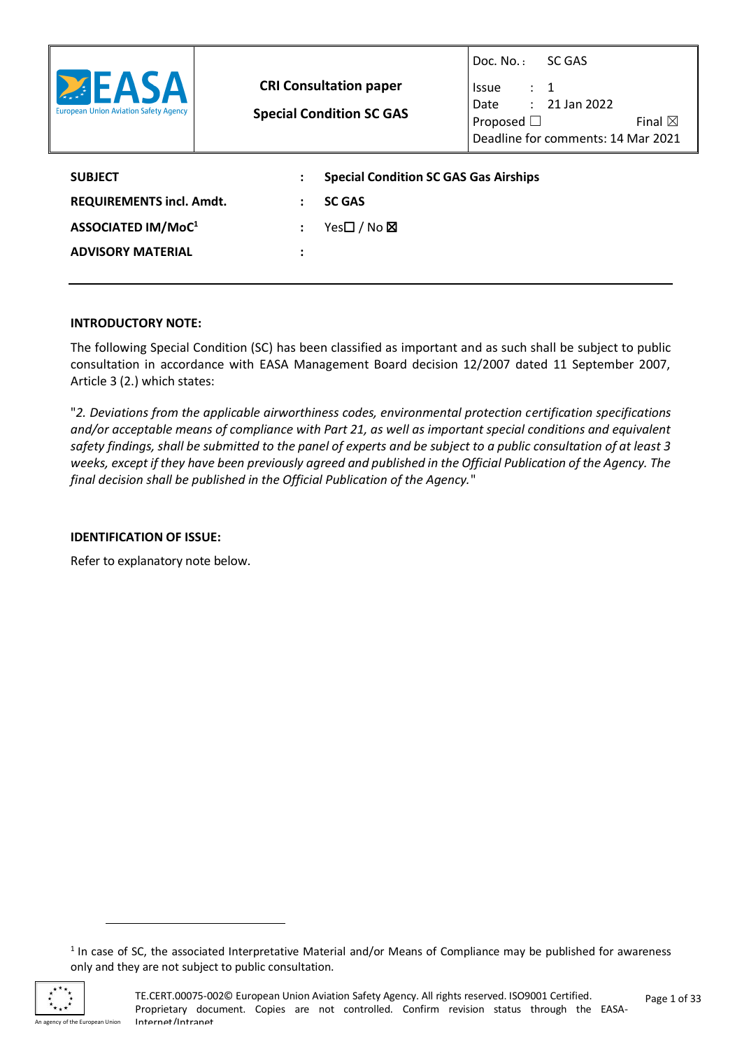| <b>ZEASA</b><br><b>European Union Aviation Safety Agency</b>                                                    | <b>CRI Consultation paper</b><br><b>Special Condition SC GAS</b>                                                      | SC GAS<br>Doc. $No.$ :<br>$\therefore$ 1<br>Issue<br>21 Jan 2022<br>Date<br>$\mathcal{L}$<br>Final $\boxtimes$<br>Proposed $\Box$<br>Deadline for comments: 14 Mar 2021 |
|-----------------------------------------------------------------------------------------------------------------|-----------------------------------------------------------------------------------------------------------------------|-------------------------------------------------------------------------------------------------------------------------------------------------------------------------|
| <b>SUBJECT</b><br><b>REQUIREMENTS incl. Amdt.</b><br>ASSOCIATED IM/MoC <sup>1</sup><br><b>ADVISORY MATERIAL</b> | <b>Special Condition SC GAS Gas Airships</b><br>٠<br><b>SC GAS</b><br>$\ddot{\cdot}$<br>Yes□ / No ⊠<br>٠<br>$\bullet$ |                                                                                                                                                                         |

### **INTRODUCTORY NOTE:**

The following Special Condition (SC) has been classified as important and as such shall be subject to public consultation in accordance with EASA Management Board decision 12/2007 dated 11 September 2007, Article 3 (2.) which states:

"*2. Deviations from the applicable airworthiness codes, environmental protection certification specifications and/or acceptable means of compliance with Part 21, as well as important special conditions and equivalent safety findings, shall be submitted to the panel of experts and be subject to a public consultation of at least 3 weeks, except if they have been previously agreed and published in the Official Publication of the Agency. The final decision shall be published in the Official Publication of the Agency.*"

### **IDENTIFICATION OF ISSUE:**

Refer to explanatory note below.

 $<sup>1</sup>$  In case of SC, the associated Interpretative Material and/or Means of Compliance may be published for awareness</sup> only and they are not subject to public consultation.

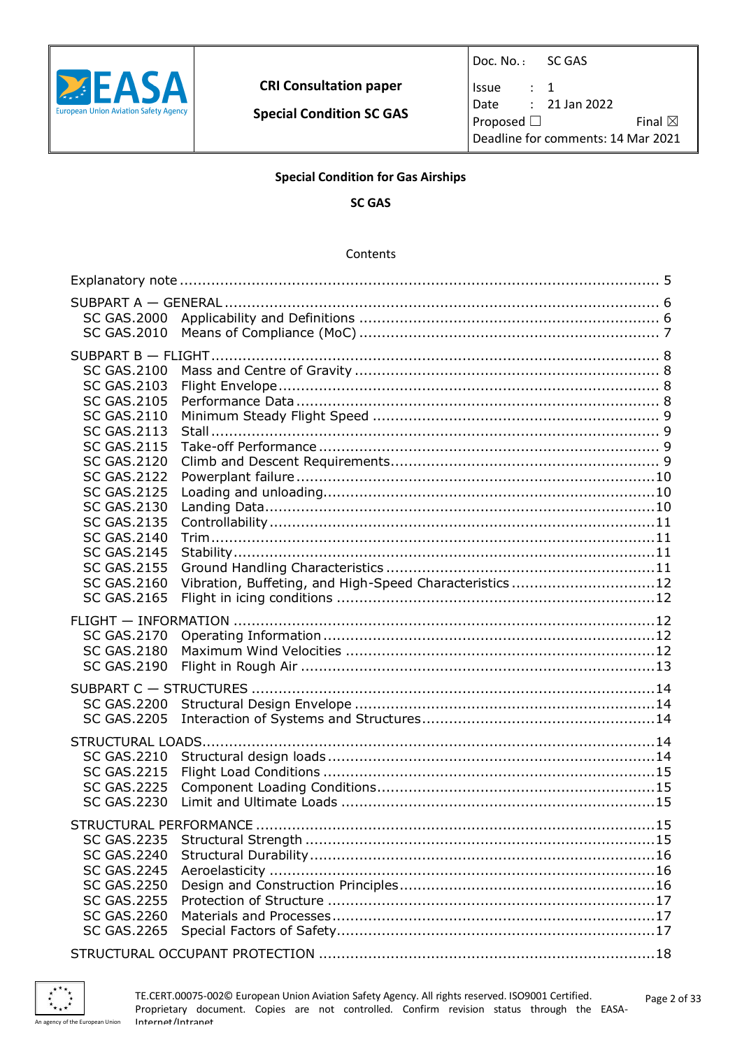

**CRI Consultation paper**

**Special Condition SC GAS** 

Doc. No.: **SC GAS** Issue : 1 Date : 21 Jan 2022

Proposed □ Final ⊠ Deadline for comments: 14 Mar 2021

### **Special Condition for Gas Airships**

#### **SC GAS**

#### Contents

| <b>SC GAS.2000</b><br><b>SC GAS, 2010</b>                                                                                                                                                                                                                                                                                                                    |                                                        |  |  |
|--------------------------------------------------------------------------------------------------------------------------------------------------------------------------------------------------------------------------------------------------------------------------------------------------------------------------------------------------------------|--------------------------------------------------------|--|--|
| <b>SC GAS.2100</b><br><b>SC GAS.2103</b><br><b>SC GAS.2105</b><br><b>SC GAS.2110</b><br><b>SC GAS.2113</b><br><b>SC GAS.2115</b><br><b>SC GAS.2120</b><br><b>SC GAS.2122</b><br><b>SC GAS.2125</b><br><b>SC GAS.2130</b><br><b>SC GAS.2135</b><br><b>SC GAS.2140</b><br><b>SC GAS.2145</b><br><b>SC GAS.2155</b><br><b>SC GAS.2160</b><br><b>SC GAS.2165</b> | Vibration, Buffeting, and High-Speed Characteristics12 |  |  |
| <b>SC GAS.2170</b><br><b>SC GAS.2180</b><br><b>SC GAS.2190</b>                                                                                                                                                                                                                                                                                               |                                                        |  |  |
| <b>SC GAS.2200</b><br><b>SC GAS.2205</b>                                                                                                                                                                                                                                                                                                                     |                                                        |  |  |
| <b>SC GAS.2210</b><br><b>SC GAS.2215</b><br><b>SC GAS.2225</b><br><b>SC GAS.2230</b>                                                                                                                                                                                                                                                                         |                                                        |  |  |
| <b>SC GAS.2235</b><br><b>SC GAS.2240</b><br><b>SC GAS.2245</b><br><b>SC GAS.2250</b><br><b>SC GAS.2255</b><br><b>SC GAS.2260</b><br><b>SC GAS.2265</b>                                                                                                                                                                                                       |                                                        |  |  |

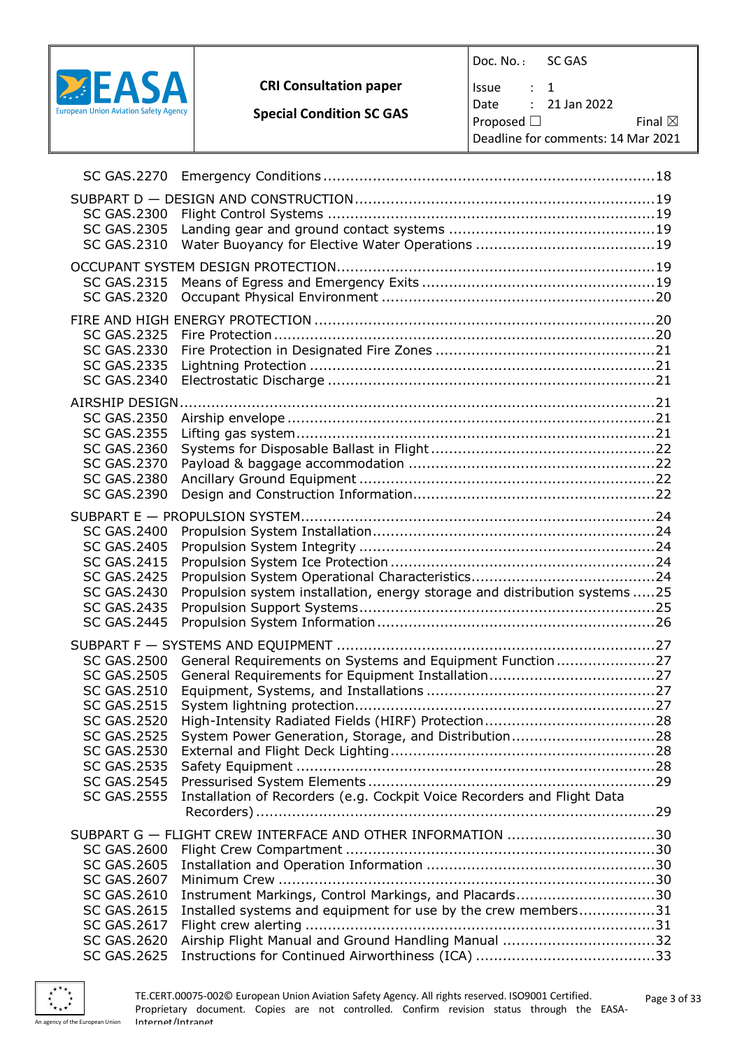

Doc. No.: **SC GAS** 

Issue : 1 Date : 21 Jan 2022 Proposed □ Final ⊠ Deadline for comments: 14 Mar 2021

| <b>SC GAS.2300</b><br><b>SC GAS.2305</b><br><b>SC GAS.2310</b>                                                                                                                                                           |                                                                                                                                                                                                                                             |
|--------------------------------------------------------------------------------------------------------------------------------------------------------------------------------------------------------------------------|---------------------------------------------------------------------------------------------------------------------------------------------------------------------------------------------------------------------------------------------|
| <b>SC GAS.2315</b><br><b>SC GAS.2320</b>                                                                                                                                                                                 |                                                                                                                                                                                                                                             |
| <b>SC GAS.2325</b><br><b>SC GAS.2330</b><br><b>SC GAS.2335</b><br><b>SC GAS.2340</b>                                                                                                                                     |                                                                                                                                                                                                                                             |
| AIRSHIP DESIGN.<br><b>SC GAS.2350</b><br><b>SC GAS.2355</b><br><b>SC GAS.2360</b><br><b>SC GAS.2370</b><br><b>SC GAS.2380</b><br><b>SC GAS.2390</b>                                                                      |                                                                                                                                                                                                                                             |
| <b>SC GAS.2400</b><br><b>SC GAS.2405</b><br><b>SC GAS.2415</b><br><b>SC GAS.2425</b><br><b>SC GAS.2430</b><br><b>SC GAS.2435</b><br><b>SC GAS.2445</b>                                                                   | Propulsion system installation, energy storage and distribution systems 25                                                                                                                                                                  |
| <b>SC GAS.2500</b><br><b>SC GAS.2505</b><br><b>SC GAS.2510</b><br><b>SC GAS.2515</b><br><b>SC GAS.2520</b><br><b>SC GAS.2525</b><br><b>SC GAS.2530</b><br><b>SC GAS.2535</b><br><b>SC GAS.2545</b><br><b>SC GAS.2555</b> | General Requirements on Systems and Equipment Function 27<br>System Power Generation, Storage, and Distribution28<br>Installation of Recorders (e.g. Cockpit Voice Recorders and Flight Data                                                |
| <b>SC GAS.2600</b><br><b>SC GAS.2605</b><br><b>SC GAS.2607</b><br><b>SC GAS.2610</b><br><b>SC GAS.2615</b><br><b>SC GAS.2617</b><br><b>SC GAS.2620</b><br><b>SC GAS.2625</b>                                             | SUBPART G - FLIGHT CREW INTERFACE AND OTHER INFORMATION 30<br>Instrument Markings, Control Markings, and Placards30<br>Installed systems and equipment for use by the crew members31<br>Airship Flight Manual and Ground Handling Manual 32 |

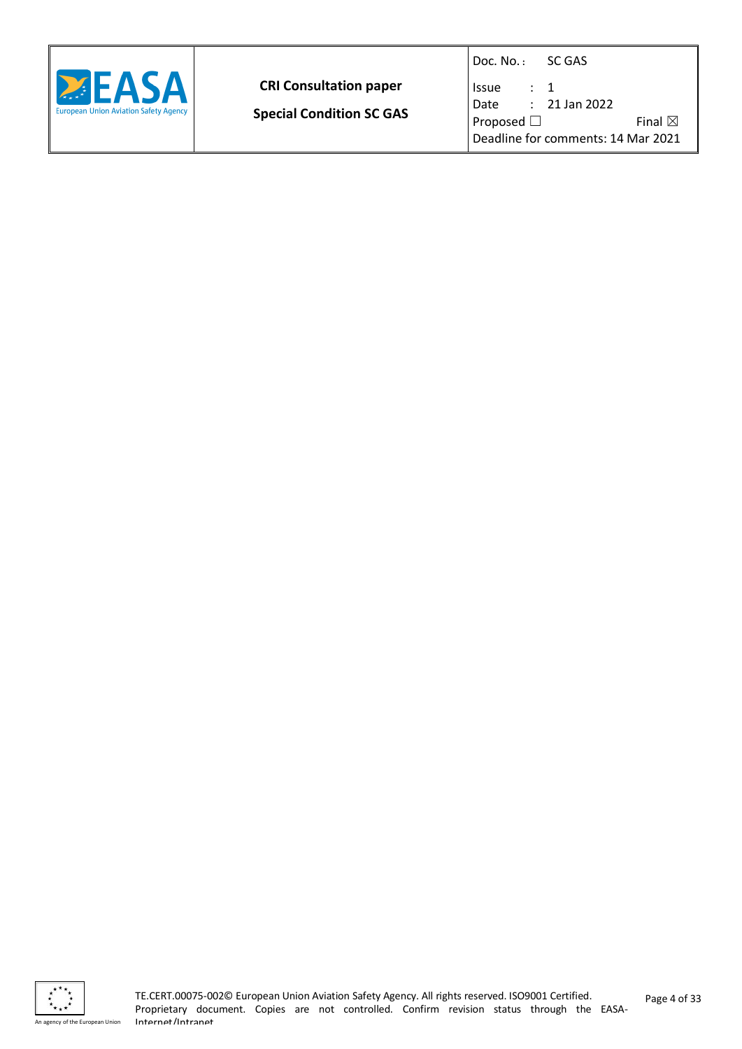|                                              |                                 | Doc. $No.$ :<br>SC GAS                                                     |
|----------------------------------------------|---------------------------------|----------------------------------------------------------------------------|
| <b>ZEASA</b>                                 | <b>CRI Consultation paper</b>   | <b>Issue</b><br>$: 21$ Jan 2022<br>Date                                    |
| <b>European Union Aviation Safety Agency</b> | <b>Special Condition SC GAS</b> | Final $\boxtimes$<br>Proposed $\Box$<br>Deadline for comments: 14 Mar 2021 |

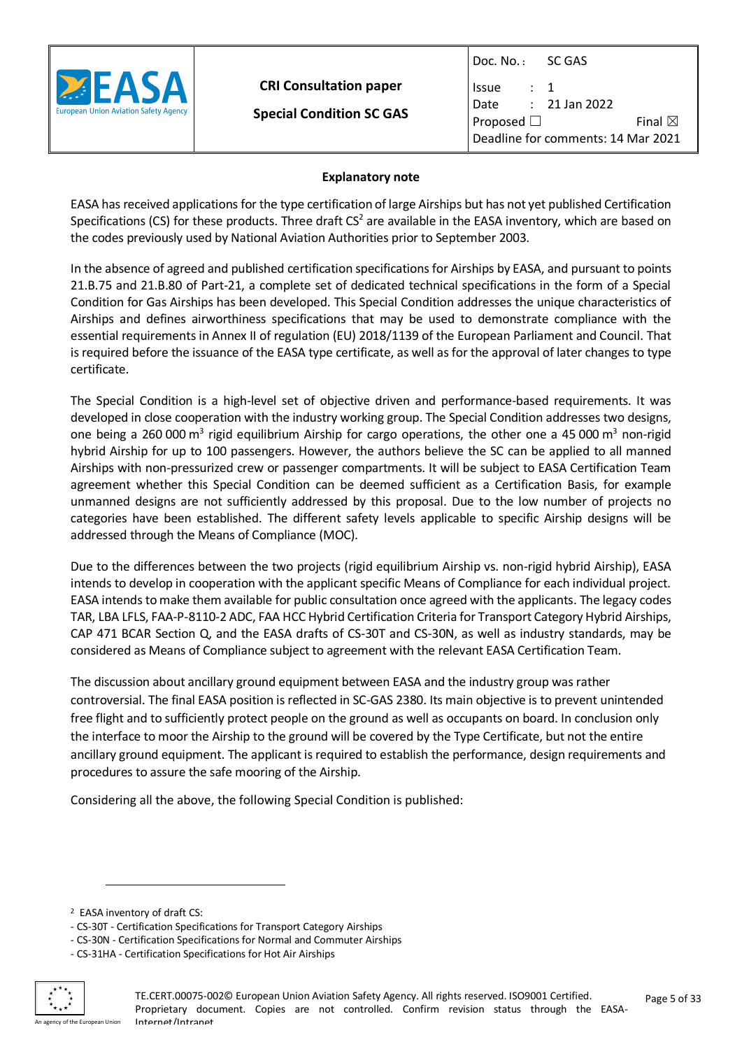

| Doc. No. : SC GAS                              |                   |  |
|------------------------------------------------|-------------------|--|
| l Issue<br>$\therefore$ 1<br>Date: 21 Jan 2022 |                   |  |
| Proposed $\Box$                                | Final $\boxtimes$ |  |
| Deadline for comments: 14 Mar 2021             |                   |  |

### **Explanatory note**

<span id="page-4-0"></span>EASA has received applications for the type certification of large Airships but has not yet published Certification Specifications (CS) for these products. Three draft  $CS<sup>2</sup>$  are available in the EASA inventory, which are based on the codes previously used by National Aviation Authorities prior to September 2003.

In the absence of agreed and published certification specifications for Airships by EASA, and pursuant to points 21.B.75 and 21.B.80 of Part-21, a complete set of dedicated technical specifications in the form of a Special Condition for Gas Airships has been developed. This Special Condition addresses the unique characteristics of Airships and defines airworthiness specifications that may be used to demonstrate compliance with the essential requirements in Annex II of regulation (EU) 2018/1139 of the European Parliament and Council. That is required before the issuance of the EASA type certificate, as well as for the approval of later changes to type certificate.

The Special Condition is a high-level set of objective driven and performance-based requirements. It was developed in close cooperation with the industry working group. The Special Condition addresses two designs, one being a 260 000 m<sup>3</sup> rigid equilibrium Airship for cargo operations, the other one a 45 000 m<sup>3</sup> non-rigid hybrid Airship for up to 100 passengers. However, the authors believe the SC can be applied to all manned Airships with non-pressurized crew or passenger compartments. It will be subject to EASA Certification Team agreement whether this Special Condition can be deemed sufficient as a Certification Basis, for example unmanned designs are not sufficiently addressed by this proposal. Due to the low number of projects no categories have been established. The different safety levels applicable to specific Airship designs will be addressed through the Means of Compliance (MOC).

Due to the differences between the two projects (rigid equilibrium Airship vs. non-rigid hybrid Airship), EASA intends to develop in cooperation with the applicant specific Means of Compliance for each individual project. EASA intends to make them available for public consultation once agreed with the applicants. The legacy codes TAR, LBA LFLS, FAA-P-8110-2 ADC, FAA HCC Hybrid Certification Criteria for Transport Category Hybrid Airships, CAP 471 BCAR Section Q, and the EASA drafts of CS-30T and CS-30N, as well as industry standards, may be considered as Means of Compliance subject to agreement with the relevant EASA Certification Team.

The discussion about ancillary ground equipment between EASA and the industry group was rather controversial. The final EASA position is reflected in SC-GAS 2380. Its main objective is to prevent unintended free flight and to sufficiently protect people on the ground as well as occupants on board. In conclusion only the interface to moor the Airship to the ground will be covered by the Type Certificate, but not the entire ancillary ground equipment. The applicant is required to establish the performance, design requirements and procedures to assure the safe mooring of the Airship.

Considering all the above, the following Special Condition is published:

<sup>-</sup> CS-31HA - Certification Specifications for Hot Air Airships



<sup>2</sup> EASA inventory of draft CS:

<sup>-</sup> CS-30T - Certification Specifications for Transport Category Airships

<sup>-</sup> CS-30N - Certification Specifications for Normal and Commuter Airships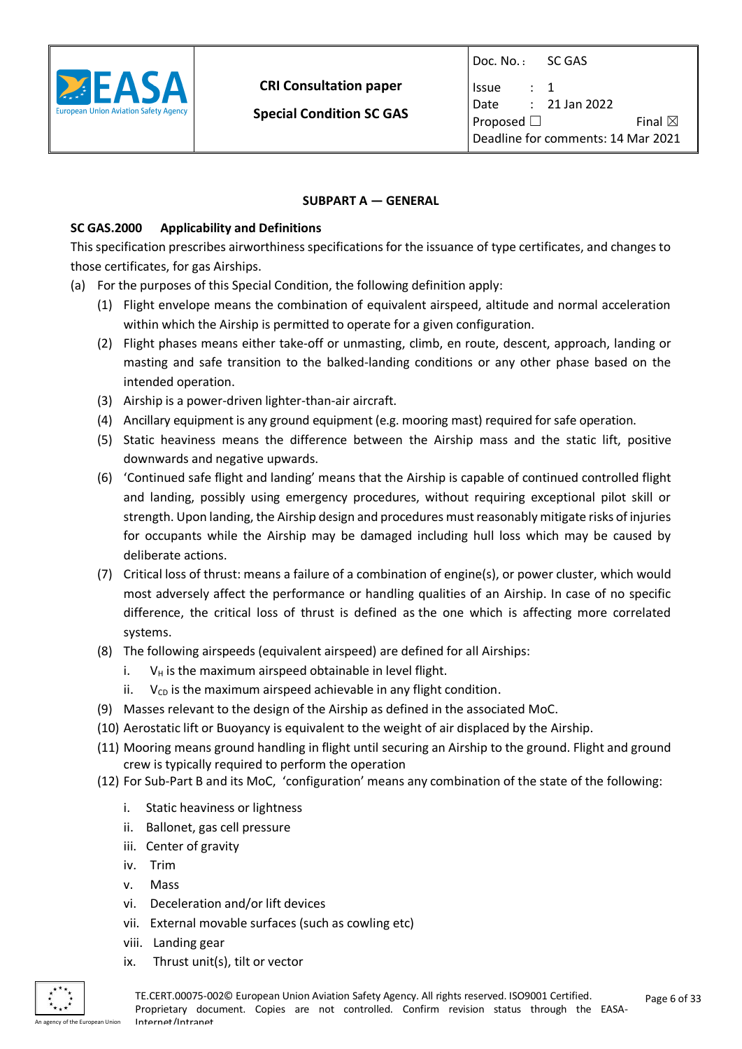

### **SUBPART A — GENERAL**

### <span id="page-5-1"></span><span id="page-5-0"></span>**SC GAS.2000 Applicability and Definitions**

This specification prescribes airworthiness specifications for the issuance of type certificates, and changes to those certificates, for gas Airships.

- (a) For the purposes of this Special Condition, the following definition apply:
	- (1) Flight envelope means the combination of equivalent airspeed, altitude and normal acceleration within which the Airship is permitted to operate for a given configuration.
	- (2) Flight phases means either take-off or unmasting, climb, en route, descent, approach, landing or masting and safe transition to the balked-landing conditions or any other phase based on the intended operation.
	- (3) Airship is a power-driven lighter-than-air aircraft.
	- (4) Ancillary equipment is any ground equipment (e.g. mooring mast) required for safe operation.
	- (5) Static heaviness means the difference between the Airship mass and the static lift, positive downwards and negative upwards.
	- (6) 'Continued safe flight and landing' means that the Airship is capable of continued controlled flight and landing, possibly using emergency procedures, without requiring exceptional pilot skill or strength. Upon landing, the Airship design and procedures must reasonably mitigate risks of injuries for occupants while the Airship may be damaged including hull loss which may be caused by deliberate actions.
	- (7) Critical loss of thrust: means a failure of a combination of engine(s), or power cluster, which would most adversely affect the performance or handling qualities of an Airship. In case of no specific difference, the critical loss of thrust is defined as the one which is affecting more correlated systems.
	- (8) The following airspeeds (equivalent airspeed) are defined for all Airships:
		- i.  $V_H$  is the maximum airspeed obtainable in level flight.
		- ii.  $V_{CD}$  is the maximum airspeed achievable in any flight condition.
	- (9) Masses relevant to the design of the Airship as defined in the associated MoC.
	- (10) Aerostatic lift or Buoyancy is equivalent to the weight of air displaced by the Airship.
	- (11) Mooring means ground handling in flight until securing an Airship to the ground. Flight and ground crew is typically required to perform the operation
	- (12) For Sub-Part B and its MoC, 'configuration' means any combination of the state of the following:
		- i. Static heaviness or lightness
		- ii. Ballonet, gas cell pressure
		- iii. Center of gravity
		- iv. Trim
		- v. Mass
		- vi. Deceleration and/or lift devices
		- vii. External movable surfaces (such as cowling etc)
		- viii. Landing gear
		- ix. Thrust unit(s), tilt or vector

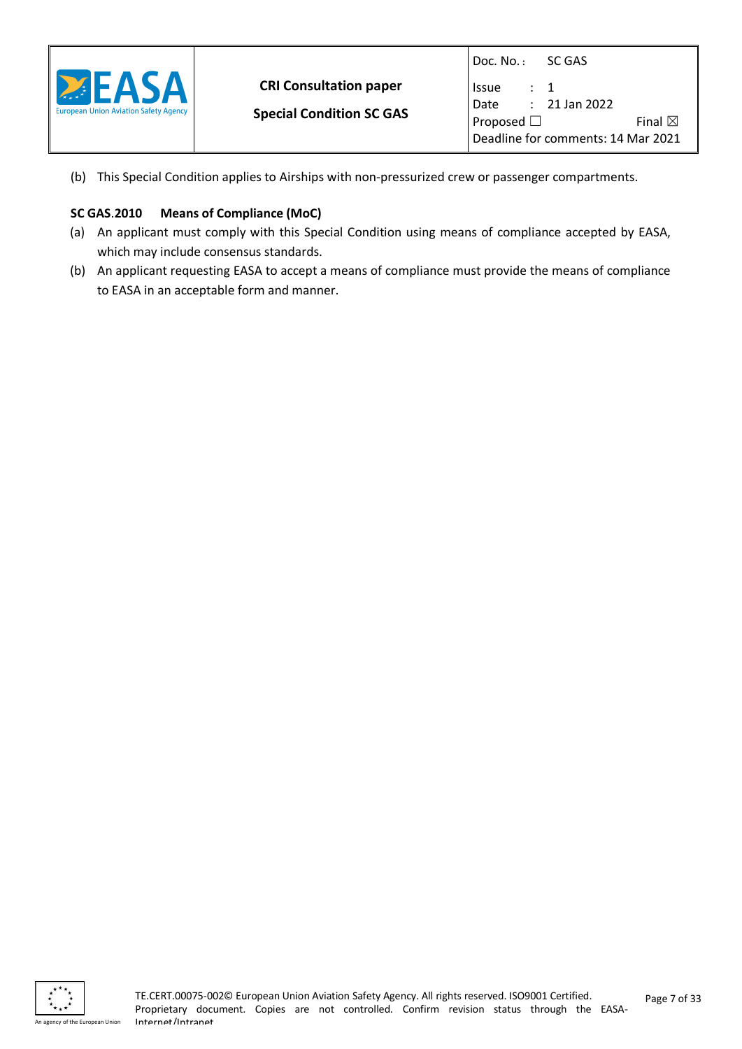

(b) This Special Condition applies to Airships with non-pressurized crew or passenger compartments.

# <span id="page-6-0"></span>**SC GAS**.**2010 Means of Compliance (MoC)**

- (a) An applicant must comply with this Special Condition using means of compliance accepted by EASA, which may include consensus standards.
- (b) An applicant requesting EASA to accept a means of compliance must provide the means of compliance to EASA in an acceptable form and manner.

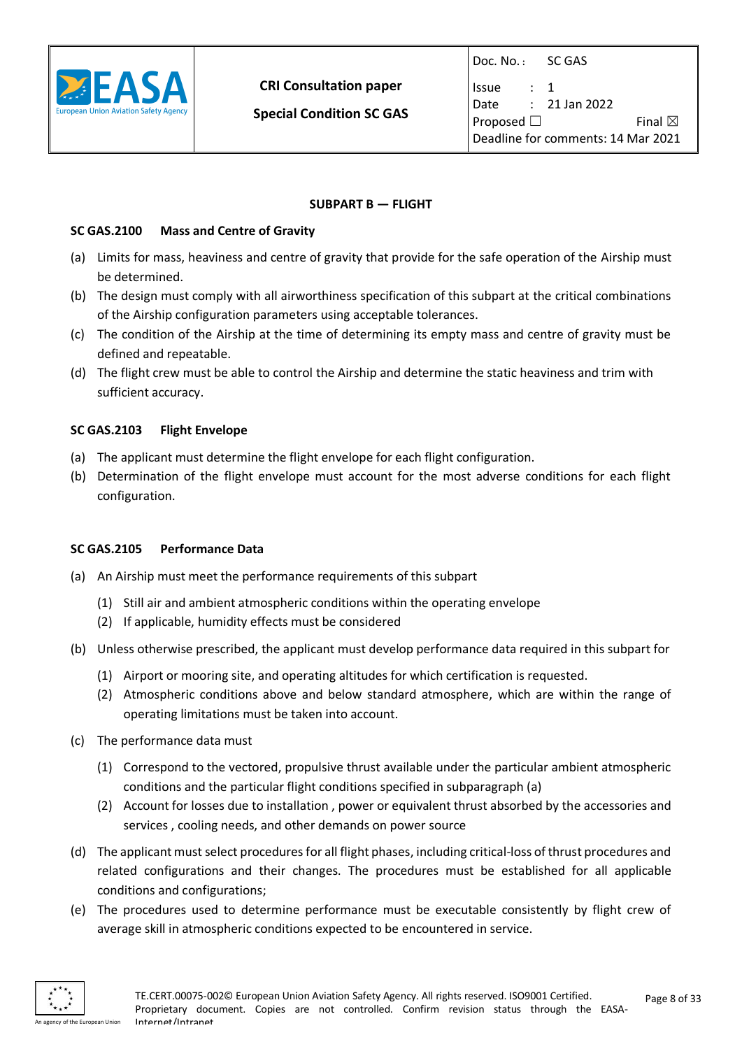

### **SUBPART B — FLIGHT**

### <span id="page-7-1"></span><span id="page-7-0"></span>**SC GAS.2100 Mass and Centre of Gravity**

- (a) Limits for mass, heaviness and centre of gravity that provide for the safe operation of the Airship must be determined.
- (b) The design must comply with all airworthiness specification of this subpart at the critical combinations of the Airship configuration parameters using acceptable tolerances.
- (c) The condition of the Airship at the time of determining its empty mass and centre of gravity must be defined and repeatable.
- (d) The flight crew must be able to control the Airship and determine the static heaviness and trim with sufficient accuracy.

### <span id="page-7-2"></span>**SC GAS.2103 Flight Envelope**

- (a) The applicant must determine the flight envelope for each flight configuration.
- (b) Determination of the flight envelope must account for the most adverse conditions for each flight configuration.

### <span id="page-7-3"></span>**SC GAS.2105 Performance Data**

- (a) An Airship must meet the performance requirements of this subpart
	- (1) Still air and ambient atmospheric conditions within the operating envelope
	- (2) If applicable, humidity effects must be considered
- (b) Unless otherwise prescribed, the applicant must develop performance data required in this subpart for
	- (1) Airport or mooring site, and operating altitudes for which certification is requested.
	- (2) Atmospheric conditions above and below standard atmosphere, which are within the range of operating limitations must be taken into account.
- (c) The performance data must
	- (1) Correspond to the vectored, propulsive thrust available under the particular ambient atmospheric conditions and the particular flight conditions specified in subparagraph (a)
	- (2) Account for losses due to installation , power or equivalent thrust absorbed by the accessories and services , cooling needs, and other demands on power source
- (d) The applicant must select procedures for all flight phases, including critical-loss of thrust procedures and related configurations and their changes. The procedures must be established for all applicable conditions and configurations;
- (e) The procedures used to determine performance must be executable consistently by flight crew of average skill in atmospheric conditions expected to be encountered in service.

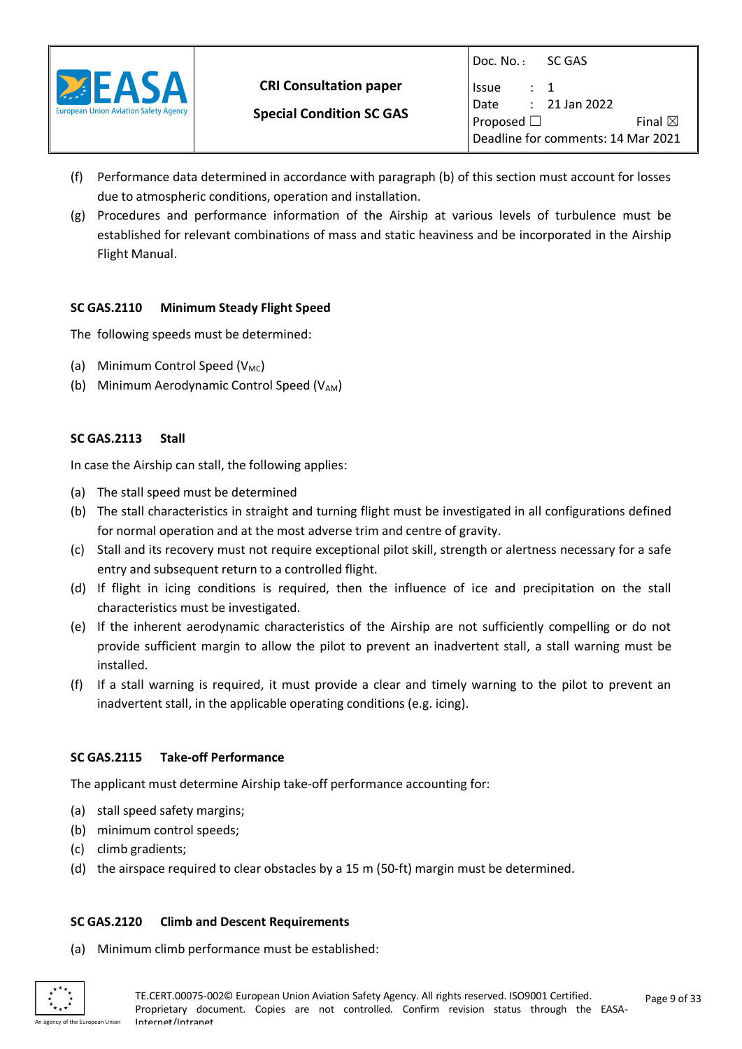

- (f) Performance data determined in accordance with paragraph (b) of this section must account for losses due to atmospheric conditions, operation and installation.
- (g) Procedures and performance information of the Airship at various levels of turbulence must be established for relevant combinations of mass and static heaviness and be incorporated in the Airship Flight Manual.

### <span id="page-8-0"></span>**SC GAS.2110 Minimum Steady Flight Speed**

The following speeds must be determined:

- (a) Minimum Control Speed  $(V_{MC})$
- (b) Minimum Aerodynamic Control Speed  $(V_{AM})$

# <span id="page-8-1"></span>**SC GAS.2113 Stall**

In case the Airship can stall, the following applies:

- (a) The stall speed must be determined
- (b) The stall characteristics in straight and turning flight must be investigated in all configurations defined for normal operation and at the most adverse trim and centre of gravity.
- (c) Stall and its recovery must not require exceptional pilot skill, strength or alertness necessary for a safe entry and subsequent return to a controlled flight.
- (d) If flight in icing conditions is required, then the influence of ice and precipitation on the stall characteristics must be investigated.
- (e) If the inherent aerodynamic characteristics of the Airship are not sufficiently compelling or do not provide sufficient margin to allow the pilot to prevent an inadvertent stall, a stall warning must be installed.
- (f) If a stall warning is required, it must provide a clear and timely warning to the pilot to prevent an inadvertent stall, in the applicable operating conditions (e.g. icing).

# <span id="page-8-2"></span>**SC GAS.2115 Take-off Performance**

The applicant must determine Airship take-off performance accounting for:

- (a) stall speed safety margins;
- (b) minimum control speeds;
- (c) climb gradients;
- (d) the airspace required to clear obstacles by a 15 m (50-ft) margin must be determined.

### <span id="page-8-3"></span>**SC GAS.2120 Climb and Descent Requirements**

(a) Minimum climb performance must be established:

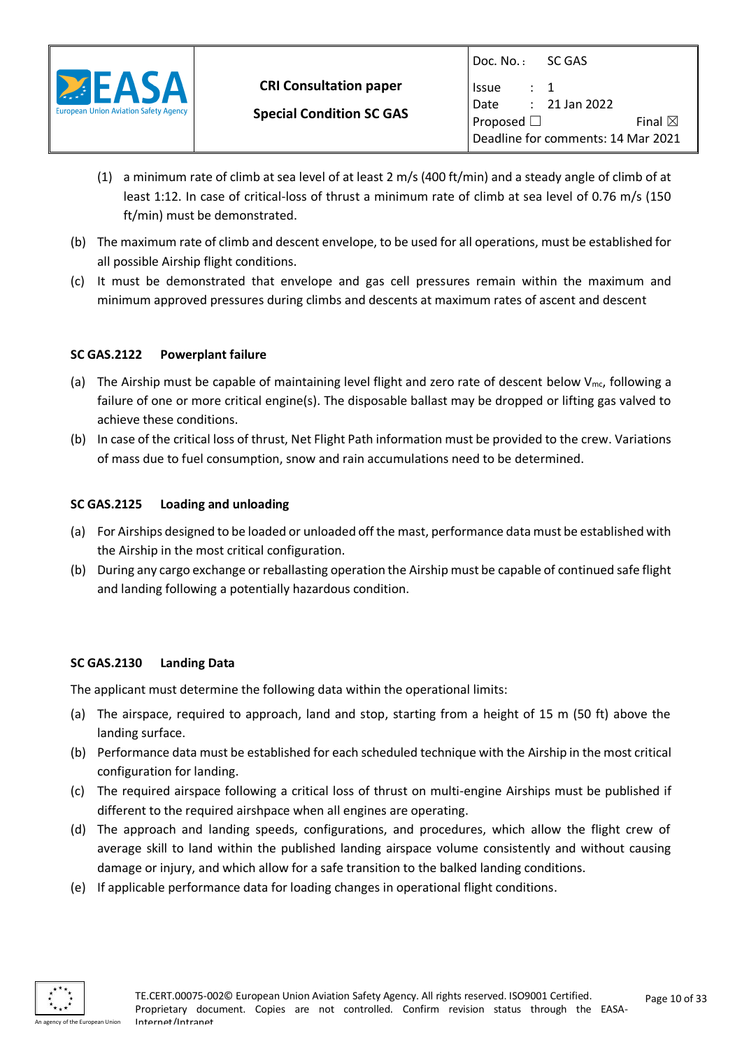

- (1) a minimum rate of climb at sea level of at least 2 m/s (400 ft/min) and a steady angle of climb of at least 1:12. In case of critical-loss of thrust a minimum rate of climb at sea level of 0.76 m/s (150 ft/min) must be demonstrated.
- (b) The maximum rate of climb and descent envelope, to be used for all operations, must be established for all possible Airship flight conditions.
- (c) It must be demonstrated that envelope and gas cell pressures remain within the maximum and minimum approved pressures during climbs and descents at maximum rates of ascent and descent

# <span id="page-9-0"></span>**SC GAS.2122 Powerplant failure**

- (a) The Airship must be capable of maintaining level flight and zero rate of descent below  $V_{\text{mc}}$ , following a failure of one or more critical engine(s). The disposable ballast may be dropped or lifting gas valved to achieve these conditions.
- (b) In case of the critical loss of thrust, Net Flight Path information must be provided to the crew. Variations of mass due to fuel consumption, snow and rain accumulations need to be determined.

# <span id="page-9-1"></span>**SC GAS.2125 Loading and unloading**

- (a) For Airships designed to be loaded or unloaded off the mast, performance data must be established with the Airship in the most critical configuration.
- (b) During any cargo exchange or reballasting operation the Airship must be capable of continued safe flight and landing following a potentially hazardous condition.

# <span id="page-9-2"></span>**SC GAS.2130 Landing Data**

The applicant must determine the following data within the operational limits:

- (a) The airspace, required to approach, land and stop, starting from a height of 15 m (50 ft) above the landing surface.
- (b) Performance data must be established for each scheduled technique with the Airship in the most critical configuration for landing.
- (c) The required airspace following a critical loss of thrust on multi-engine Airships must be published if different to the required airshpace when all engines are operating.
- (d) The approach and landing speeds, configurations, and procedures, which allow the flight crew of average skill to land within the published landing airspace volume consistently and without causing damage or injury, and which allow for a safe transition to the balked landing conditions.
- (e) If applicable performance data for loading changes in operational flight conditions.

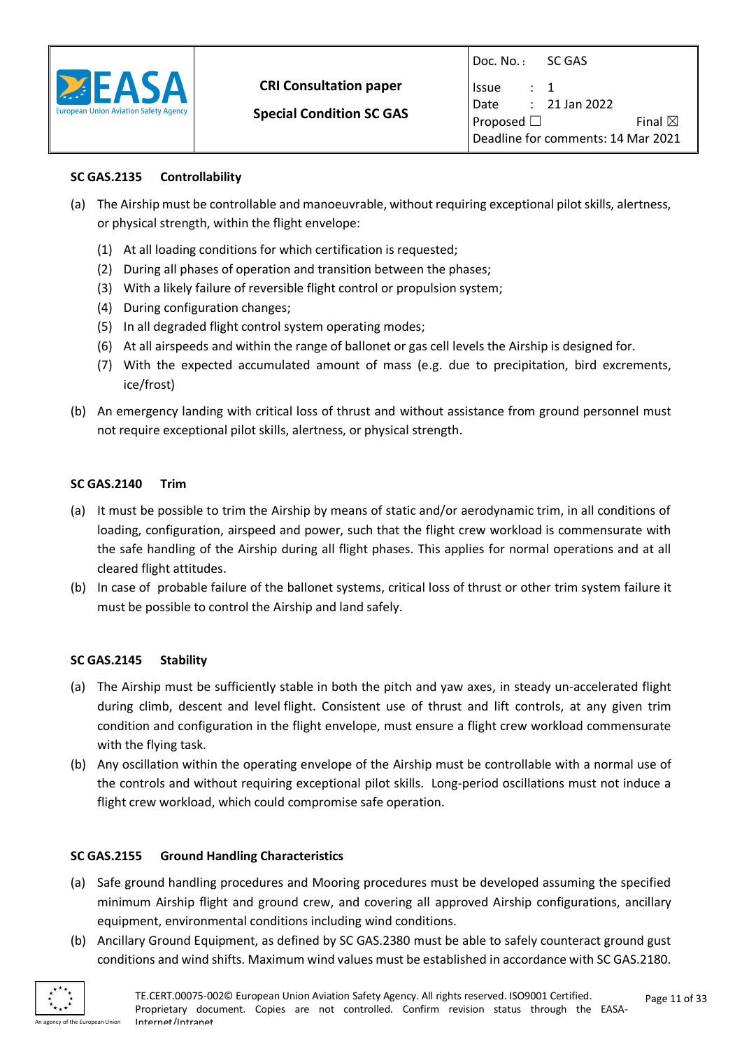

### <span id="page-10-0"></span>**SC GAS.2135 Controllability**

- (a) The Airship must be controllable and manoeuvrable, without requiring exceptional pilot skills, alertness, or physical strength, within the flight envelope:
	- (1) At all loading conditions for which certification is requested;
	- (2) During all phases of operation and transition between the phases;
	- (3) With a likely failure of reversible flight control or propulsion system;
	- (4) During configuration changes;
	- (5) In all degraded flight control system operating modes;
	- (6) At all airspeeds and within the range of ballonet or gas cell levels the Airship is designed for.
	- (7) With the expected accumulated amount of mass (e.g. due to precipitation, bird excrements, ice/frost)
- (b) An emergency landing with critical loss of thrust and without assistance from ground personnel must not require exceptional pilot skills, alertness, or physical strength.

### <span id="page-10-1"></span>**SC GAS.2140 Trim**

- (a) It must be possible to trim the Airship by means of static and/or aerodynamic trim, in all conditions of loading, configuration, airspeed and power, such that the flight crew workload is commensurate with the safe handling of the Airship during all flight phases. This applies for normal operations and at all cleared flight attitudes.
- (b) In case of probable failure of the ballonet systems, critical loss of thrust or other trim system failure it must be possible to control the Airship and land safely.

### <span id="page-10-2"></span>**SC GAS.2145 Stability**

- (a) The Airship must be sufficiently stable in both the pitch and yaw axes, in steady un-accelerated flight during climb, descent and level flight. Consistent use of thrust and lift controls, at any given trim condition and configuration in the flight envelope, must ensure a flight crew workload commensurate with the flying task.
- (b) Any oscillation within the operating envelope of the Airship must be controllable with a normal use of the controls and without requiring exceptional pilot skills. Long-period oscillations must not induce a flight crew workload, which could compromise safe operation.

### <span id="page-10-3"></span>**SC GAS.2155 Ground Handling Characteristics**

- (a) Safe ground handling procedures and Mooring procedures must be developed assuming the specified minimum Airship flight and ground crew, and covering all approved Airship configurations, ancillary equipment, environmental conditions including wind conditions.
- (b) Ancillary Ground Equipment, as defined by SC GAS.2380 must be able to safely counteract ground gust conditions and wind shifts. Maximum wind values must be established in accordance with SC GAS.2180.

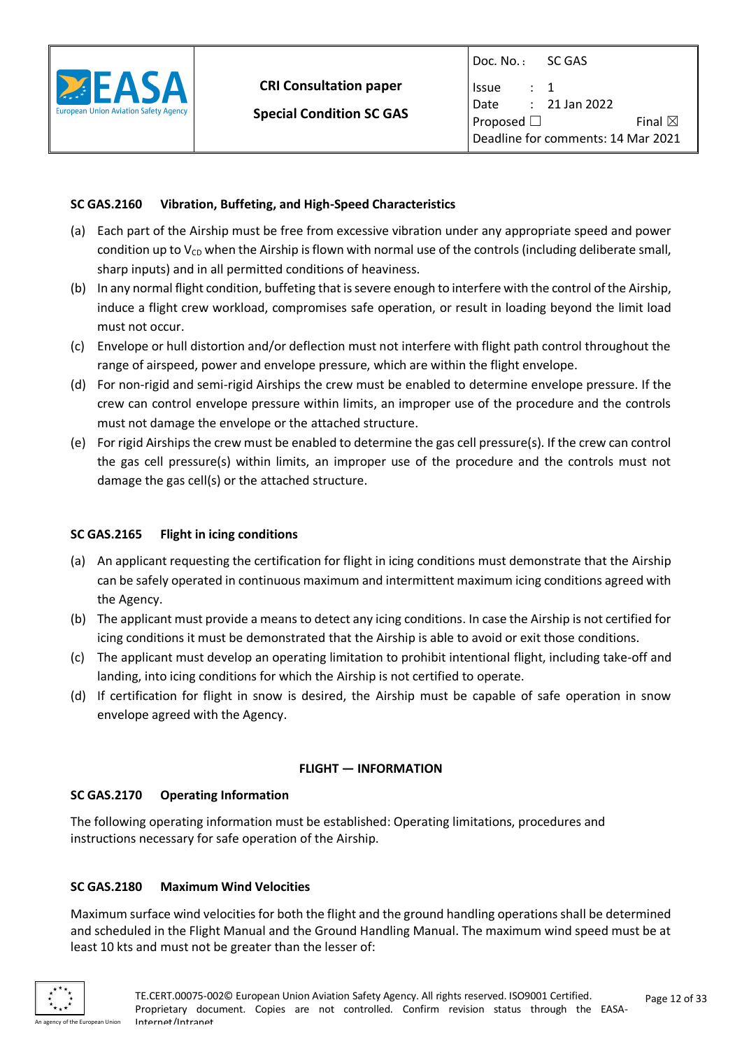

# <span id="page-11-0"></span>**SC GAS.2160 Vibration, Buffeting, and High-Speed Characteristics**

- (a) Each part of the Airship must be free from excessive vibration under any appropriate speed and power condition up to  $V_{CD}$  when the Airship is flown with normal use of the controls (including deliberate small, sharp inputs) and in all permitted conditions of heaviness.
- (b) In any normal flight condition, buffeting that is severe enough to interfere with the control of the Airship, induce a flight crew workload, compromises safe operation, or result in loading beyond the limit load must not occur.
- (c) Envelope or hull distortion and/or deflection must not interfere with flight path control throughout the range of airspeed, power and envelope pressure, which are within the flight envelope.
- (d) For non-rigid and semi-rigid Airships the crew must be enabled to determine envelope pressure. If the crew can control envelope pressure within limits, an improper use of the procedure and the controls must not damage the envelope or the attached structure.
- (e) For rigid Airships the crew must be enabled to determine the gas cell pressure(s). If the crew can control the gas cell pressure(s) within limits, an improper use of the procedure and the controls must not damage the gas cell(s) or the attached structure.

# <span id="page-11-1"></span>**SC GAS.2165 Flight in icing conditions**

- (a) An applicant requesting the certification for flight in icing conditions must demonstrate that the Airship can be safely operated in continuous maximum and intermittent maximum icing conditions agreed with the Agency.
- (b) The applicant must provide a means to detect any icing conditions. In case the Airship is not certified for icing conditions it must be demonstrated that the Airship is able to avoid or exit those conditions.
- (c) The applicant must develop an operating limitation to prohibit intentional flight, including take-off and landing, into icing conditions for which the Airship is not certified to operate.
- (d) If certification for flight in snow is desired, the Airship must be capable of safe operation in snow envelope agreed with the Agency.

# **FLIGHT — INFORMATION**

# <span id="page-11-3"></span><span id="page-11-2"></span>**SC GAS.2170 Operating Information**

The following operating information must be established: Operating limitations, procedures and instructions necessary for safe operation of the Airship.

# <span id="page-11-4"></span>**SC GAS.2180 Maximum Wind Velocities**

Maximum surface wind velocities for both the flight and the ground handling operations shall be determined and scheduled in the Flight Manual and the Ground Handling Manual. The maximum wind speed must be at least 10 kts and must not be greater than the lesser of:

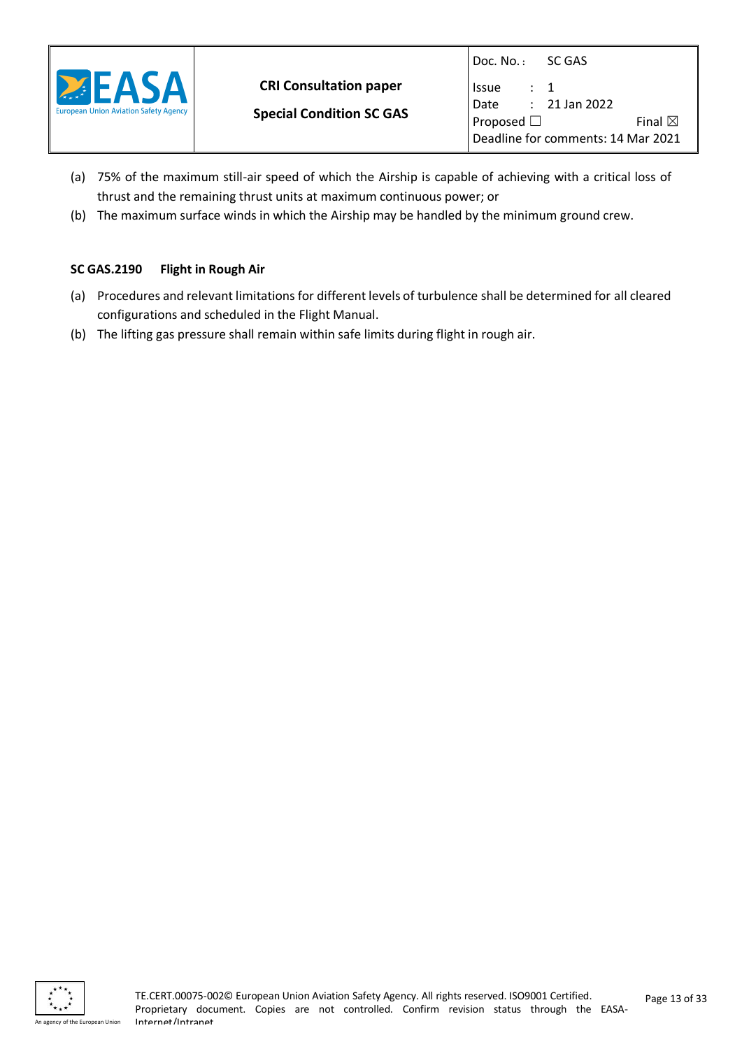

- (a) 75% of the maximum still-air speed of which the Airship is capable of achieving with a critical loss of thrust and the remaining thrust units at maximum continuous power; or
- (b) The maximum surface winds in which the Airship may be handled by the minimum ground crew.

# <span id="page-12-0"></span>**SC GAS.2190 Flight in Rough Air**

- (a) Procedures and relevant limitations for different levels of turbulence shall be determined for all cleared configurations and scheduled in the Flight Manual.
- (b) The lifting gas pressure shall remain within safe limits during flight in rough air.

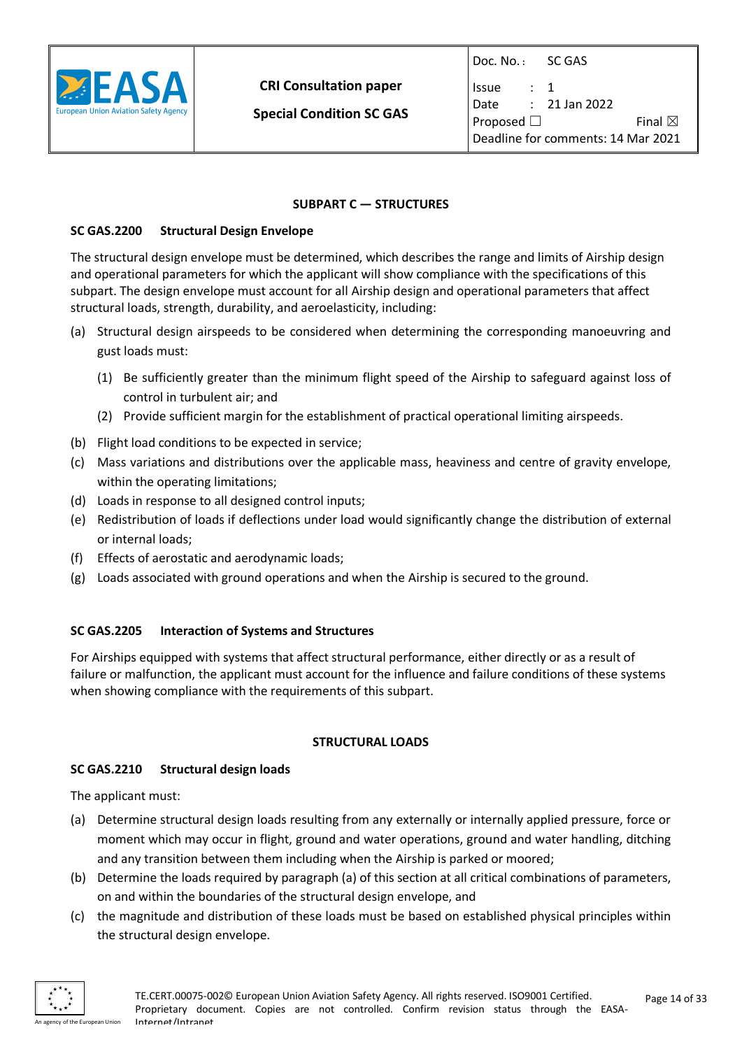

### **SUBPART C — STRUCTURES**

### <span id="page-13-1"></span><span id="page-13-0"></span>**SC GAS.2200 Structural Design Envelope**

The structural design envelope must be determined, which describes the range and limits of Airship design and operational parameters for which the applicant will show compliance with the specifications of this subpart. The design envelope must account for all Airship design and operational parameters that affect structural loads, strength, durability, and aeroelasticity, including:

- (a) Structural design airspeeds to be considered when determining the corresponding manoeuvring and gust loads must:
	- (1) Be sufficiently greater than the minimum flight speed of the Airship to safeguard against loss of control in turbulent air; and
	- (2) Provide sufficient margin for the establishment of practical operational limiting airspeeds.
- (b) Flight load conditions to be expected in service;
- (c) Mass variations and distributions over the applicable mass, heaviness and centre of gravity envelope, within the operating limitations;
- (d) Loads in response to all designed control inputs;
- (e) Redistribution of loads if deflections under load would significantly change the distribution of external or internal loads;
- (f) Effects of aerostatic and aerodynamic loads;
- (g) Loads associated with ground operations and when the Airship is secured to the ground.

# <span id="page-13-2"></span>**SC GAS.2205 Interaction of Systems and Structures**

For Airships equipped with systems that affect structural performance, either directly or as a result of failure or malfunction, the applicant must account for the influence and failure conditions of these systems when showing compliance with the requirements of this subpart.

# **STRUCTURAL LOADS**

# <span id="page-13-4"></span><span id="page-13-3"></span>**SC GAS.2210 Structural design loads**

The applicant must:

- (a) Determine structural design loads resulting from any externally or internally applied pressure, force or moment which may occur in flight, ground and water operations, ground and water handling, ditching and any transition between them including when the Airship is parked or moored;
- (b) Determine the loads required by paragraph (a) of this section at all critical combinations of parameters, on and within the boundaries of the structural design envelope, and
- (c) the magnitude and distribution of these loads must be based on established physical principles within the structural design envelope.

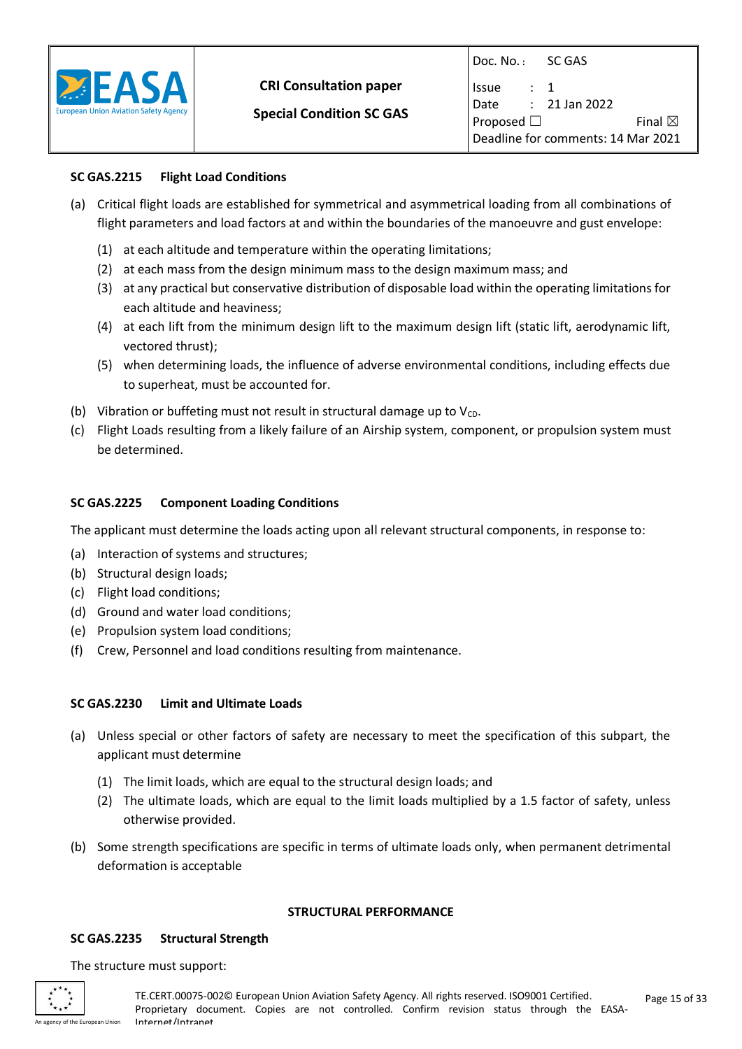

### <span id="page-14-0"></span>**SC GAS.2215 Flight Load Conditions**

- (a) Critical flight loads are established for symmetrical and asymmetrical loading from all combinations of flight parameters and load factors at and within the boundaries of the manoeuvre and gust envelope:
	- (1) at each altitude and temperature within the operating limitations;
	- (2) at each mass from the design minimum mass to the design maximum mass; and
	- (3) at any practical but conservative distribution of disposable load within the operating limitations for each altitude and heaviness;
	- (4) at each lift from the minimum design lift to the maximum design lift (static lift, aerodynamic lift, vectored thrust);
	- (5) when determining loads, the influence of adverse environmental conditions, including effects due to superheat, must be accounted for.
- (b) Vibration or buffeting must not result in structural damage up to  $V_{CD}$ .
- (c) Flight Loads resulting from a likely failure of an Airship system, component, or propulsion system must be determined.

### <span id="page-14-1"></span>**SC GAS.2225 Component Loading Conditions**

The applicant must determine the loads acting upon all relevant structural components, in response to:

- (a) Interaction of systems and structures;
- (b) Structural design loads;
- (c) Flight load conditions;
- (d) Ground and water load conditions;
- (e) Propulsion system load conditions;
- (f) Crew, Personnel and load conditions resulting from maintenance.

### <span id="page-14-2"></span>**SC GAS.2230 Limit and Ultimate Loads**

- (a) Unless special or other factors of safety are necessary to meet the specification of this subpart, the applicant must determine
	- (1) The limit loads, which are equal to the structural design loads; and
	- (2) The ultimate loads, which are equal to the limit loads multiplied by a 1.5 factor of safety, unless otherwise provided.
- (b) Some strength specifications are specific in terms of ultimate loads only, when permanent detrimental deformation is acceptable

#### **STRUCTURAL PERFORMANCE**

#### <span id="page-14-4"></span><span id="page-14-3"></span>**SC GAS.2235 Structural Strength**

#### The structure must support:

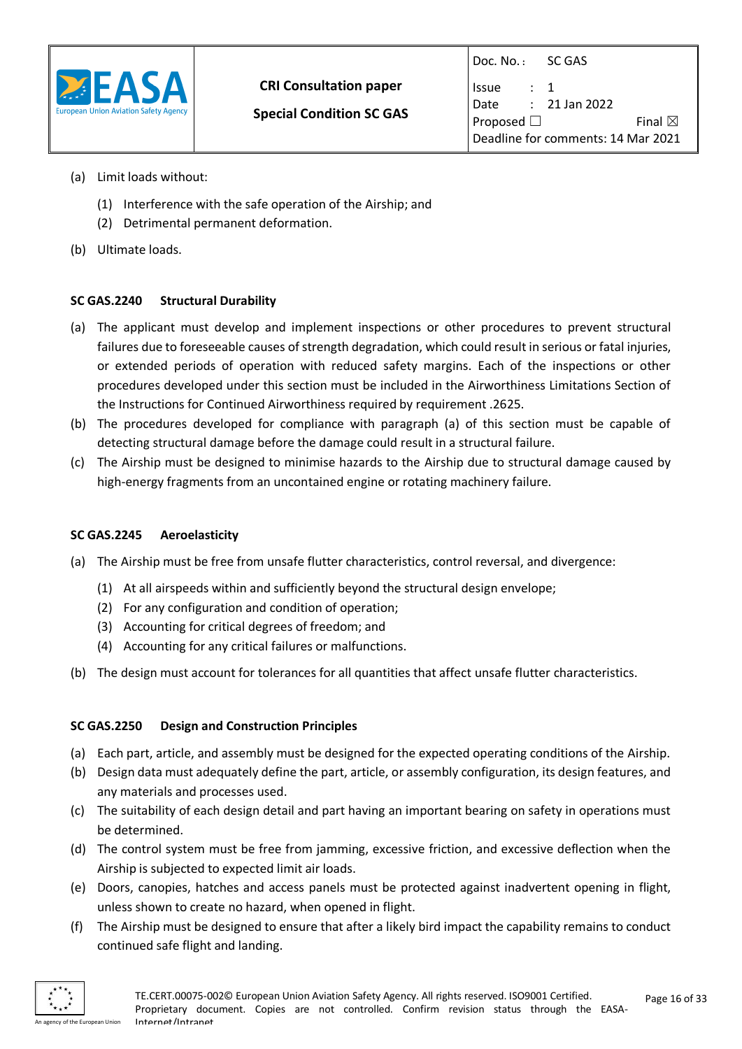

Issue : 1 Date : 21 Jan 2022 Proposed  $□$  Final  $□$ Deadline for comments: 14 Mar 2021

- (a) Limit loads without:
	- (1) Interference with the safe operation of the Airship; and
	- (2) Detrimental permanent deformation.
- (b) Ultimate loads.

# <span id="page-15-0"></span>**SC GAS.2240 Structural Durability**

- (a) The applicant must develop and implement inspections or other procedures to prevent structural failures due to foreseeable causes of strength degradation, which could result in serious or fatal injuries, or extended periods of operation with reduced safety margins. Each of the inspections or other procedures developed under this section must be included in the Airworthiness Limitations Section of the Instructions for Continued Airworthiness required by requirement .2625.
- (b) The procedures developed for compliance with paragraph (a) of this section must be capable of detecting structural damage before the damage could result in a structural failure.
- (c) The Airship must be designed to minimise hazards to the Airship due to structural damage caused by high-energy fragments from an uncontained engine or rotating machinery failure.

# <span id="page-15-1"></span>**SC GAS.2245 Aeroelasticity**

- (a) The Airship must be free from unsafe flutter characteristics, control reversal, and divergence:
	- (1) At all airspeeds within and sufficiently beyond the structural design envelope;
	- (2) For any configuration and condition of operation;
	- (3) Accounting for critical degrees of freedom; and
	- (4) Accounting for any critical failures or malfunctions.
- (b) The design must account for tolerances for all quantities that affect unsafe flutter characteristics.

# <span id="page-15-2"></span>**SC GAS.2250 Design and Construction Principles**

- (a) Each part, article, and assembly must be designed for the expected operating conditions of the Airship.
- (b) Design data must adequately define the part, article, or assembly configuration, its design features, and any materials and processes used.
- (c) The suitability of each design detail and part having an important bearing on safety in operations must be determined.
- (d) The control system must be free from jamming, excessive friction, and excessive deflection when the Airship is subjected to expected limit air loads.
- (e) Doors, canopies, hatches and access panels must be protected against inadvertent opening in flight, unless shown to create no hazard, when opened in flight.
- (f) The Airship must be designed to ensure that after a likely bird impact the capability remains to conduct continued safe flight and landing.

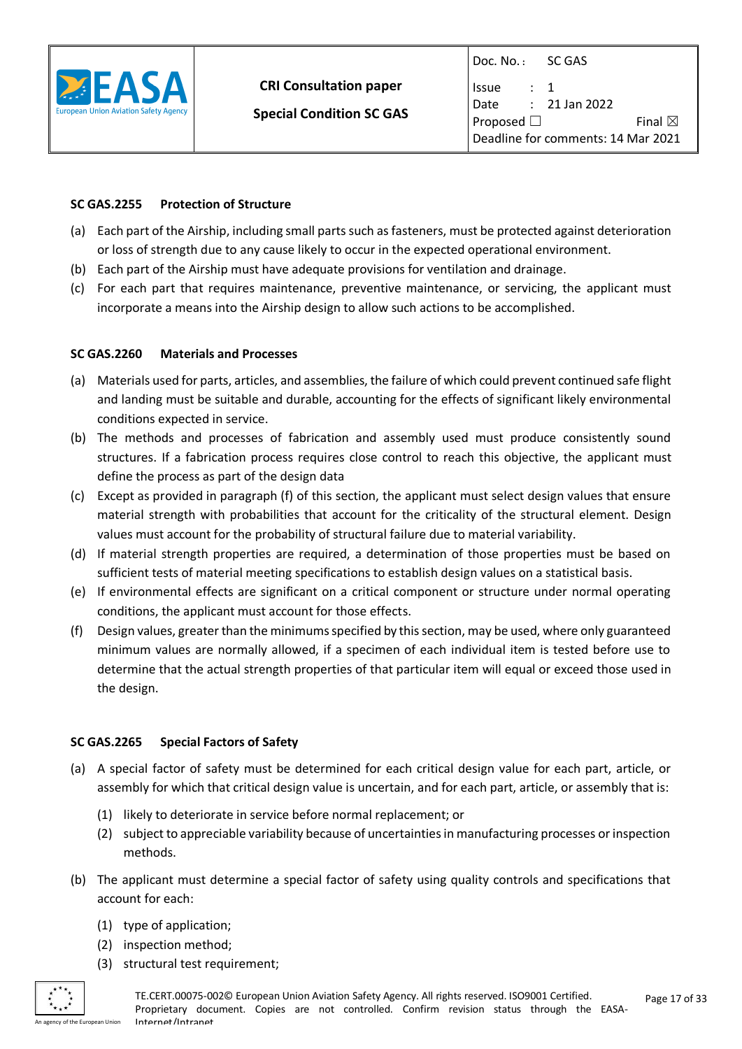

### <span id="page-16-0"></span>**SC GAS.2255 Protection of Structure**

- (a) Each part of the Airship, including small parts such as fasteners, must be protected against deterioration or loss of strength due to any cause likely to occur in the expected operational environment.
- (b) Each part of the Airship must have adequate provisions for ventilation and drainage.
- (c) For each part that requires maintenance, preventive maintenance, or servicing, the applicant must incorporate a means into the Airship design to allow such actions to be accomplished.

### <span id="page-16-1"></span>**SC GAS.2260 Materials and Processes**

- (a) Materials used for parts, articles, and assemblies, the failure of which could prevent continued safe flight and landing must be suitable and durable, accounting for the effects of significant likely environmental conditions expected in service.
- (b) The methods and processes of fabrication and assembly used must produce consistently sound structures. If a fabrication process requires close control to reach this objective, the applicant must define the process as part of the design data
- (c) Except as provided in paragraph (f) of this section, the applicant must select design values that ensure material strength with probabilities that account for the criticality of the structural element. Design values must account for the probability of structural failure due to material variability.
- (d) If material strength properties are required, a determination of those properties must be based on sufficient tests of material meeting specifications to establish design values on a statistical basis.
- (e) If environmental effects are significant on a critical component or structure under normal operating conditions, the applicant must account for those effects.
- (f) Design values, greater than the minimums specified by this section, may be used, where only guaranteed minimum values are normally allowed, if a specimen of each individual item is tested before use to determine that the actual strength properties of that particular item will equal or exceed those used in the design.

### <span id="page-16-2"></span>**SC GAS.2265 Special Factors of Safety**

- (a) A special factor of safety must be determined for each critical design value for each part, article, or assembly for which that critical design value is uncertain, and for each part, article, or assembly that is:
	- (1) likely to deteriorate in service before normal replacement; or
	- (2) subject to appreciable variability because of uncertainties in manufacturing processes or inspection methods.
- (b) The applicant must determine a special factor of safety using quality controls and specifications that account for each:
	- (1) type of application;
	- (2) inspection method;
	- (3) structural test requirement;

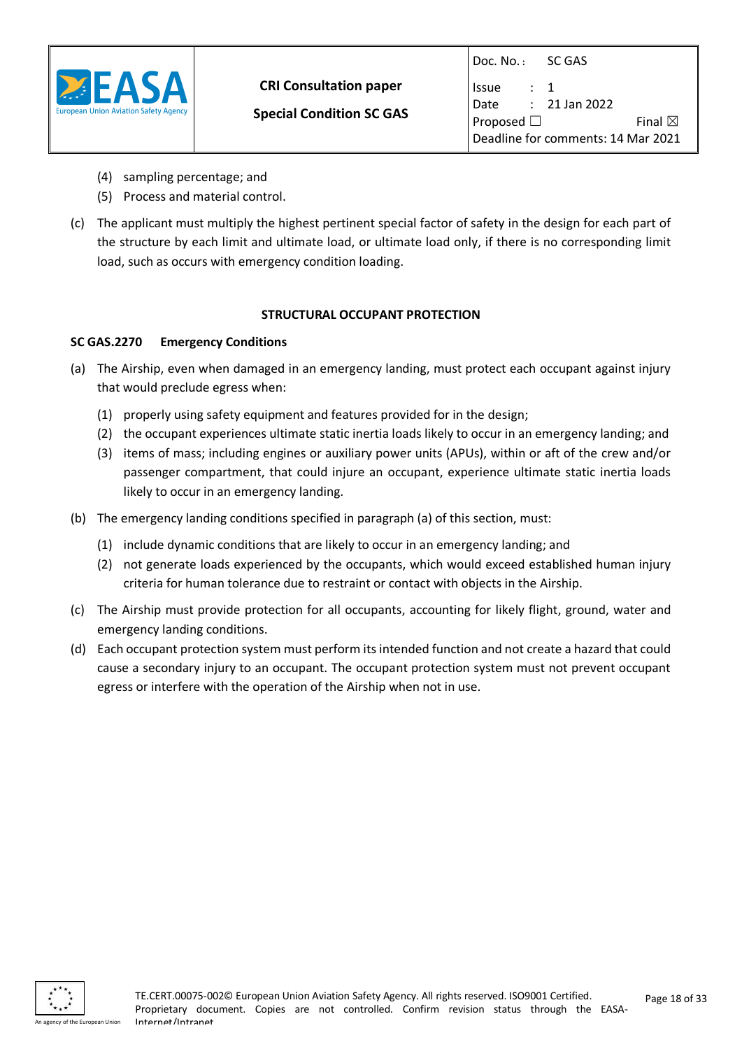

| Doc. $No. :$ SC GAS                |           |                   |
|------------------------------------|-----------|-------------------|
| Issue                              | $\cdot$ 1 |                   |
| Date                               |           | $: 21$ Jan 2022   |
| Proposed $\Box$                    |           | Final $\boxtimes$ |
| Deadline for comments: 14 Mar 2021 |           |                   |

- (4) sampling percentage; and
- (5) Process and material control.
- (c) The applicant must multiply the highest pertinent special factor of safety in the design for each part of the structure by each limit and ultimate load, or ultimate load only, if there is no corresponding limit load, such as occurs with emergency condition loading.

### **STRUCTURAL OCCUPANT PROTECTION**

#### <span id="page-17-1"></span><span id="page-17-0"></span>**SC GAS.2270 Emergency Conditions**

- (a) The Airship, even when damaged in an emergency landing, must protect each occupant against injury that would preclude egress when:
	- (1) properly using safety equipment and features provided for in the design;
	- (2) the occupant experiences ultimate static inertia loads likely to occur in an emergency landing; and
	- (3) items of mass; including engines or auxiliary power units (APUs), within or aft of the crew and/or passenger compartment, that could injure an occupant, experience ultimate static inertia loads likely to occur in an emergency landing.
- (b) The emergency landing conditions specified in paragraph (a) of this section, must:
	- (1) include dynamic conditions that are likely to occur in an emergency landing; and
	- (2) not generate loads experienced by the occupants, which would exceed established human injury criteria for human tolerance due to restraint or contact with objects in the Airship.
- (c) The Airship must provide protection for all occupants, accounting for likely flight, ground, water and emergency landing conditions.
- (d) Each occupant protection system must perform its intended function and not create a hazard that could cause a secondary injury to an occupant. The occupant protection system must not prevent occupant egress or interfere with the operation of the Airship when not in use.

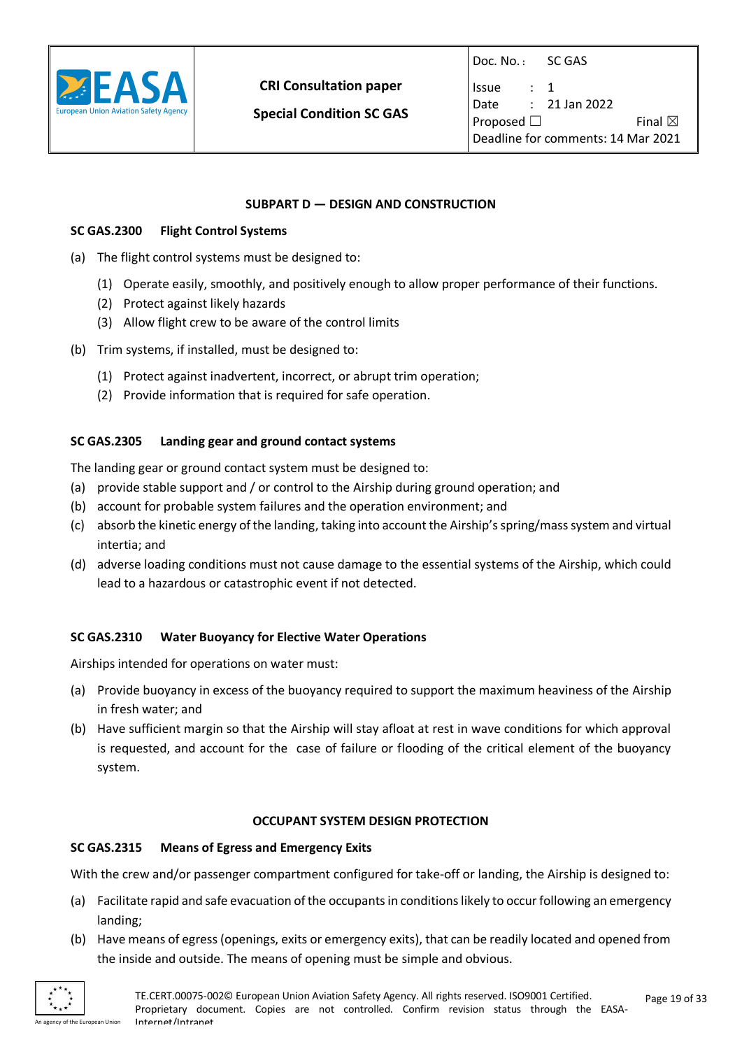

Doc. No.: **SC GAS** 

**Special Condition SC GAS** 

Issue : 1 Date : 21 Jan 2022 Proposed  $□$  Final  $□$ Deadline for comments: 14 Mar 2021

# **SUBPART D — DESIGN AND CONSTRUCTION**

# <span id="page-18-1"></span><span id="page-18-0"></span>**SC GAS.2300 Flight Control Systems**

- (a) The flight control systems must be designed to:
	- (1) Operate easily, smoothly, and positively enough to allow proper performance of their functions.
	- (2) Protect against likely hazards
	- (3) Allow flight crew to be aware of the control limits
- (b) Trim systems, if installed, must be designed to:
	- (1) Protect against inadvertent, incorrect, or abrupt trim operation;
	- (2) Provide information that is required for safe operation.

### <span id="page-18-2"></span>**SC GAS.2305 Landing gear and ground contact systems**

The landing gear or ground contact system must be designed to:

- (a) provide stable support and / or control to the Airship during ground operation; and
- (b) account for probable system failures and the operation environment; and
- (c) absorb the kinetic energy of the landing, taking into account the Airship's spring/mass system and virtual intertia; and
- (d) adverse loading conditions must not cause damage to the essential systems of the Airship, which could lead to a hazardous or catastrophic event if not detected.

# <span id="page-18-3"></span>**SC GAS.2310 Water Buoyancy for Elective Water Operations**

Airships intended for operations on water must:

- (a) Provide buoyancy in excess of the buoyancy required to support the maximum heaviness of the Airship in fresh water; and
- (b) Have sufficient margin so that the Airship will stay afloat at rest in wave conditions for which approval is requested, and account for the case of failure or flooding of the critical element of the buoyancy system.

### **OCCUPANT SYSTEM DESIGN PROTECTION**

### <span id="page-18-5"></span><span id="page-18-4"></span>**SC GAS.2315 Means of Egress and Emergency Exits**

With the crew and/or passenger compartment configured for take-off or landing, the Airship is designed to:

- (a) Facilitate rapid and safe evacuation of the occupantsin conditions likely to occur following an emergency landing;
- (b) Have means of egress (openings, exits or emergency exits), that can be readily located and opened from the inside and outside. The means of opening must be simple and obvious.

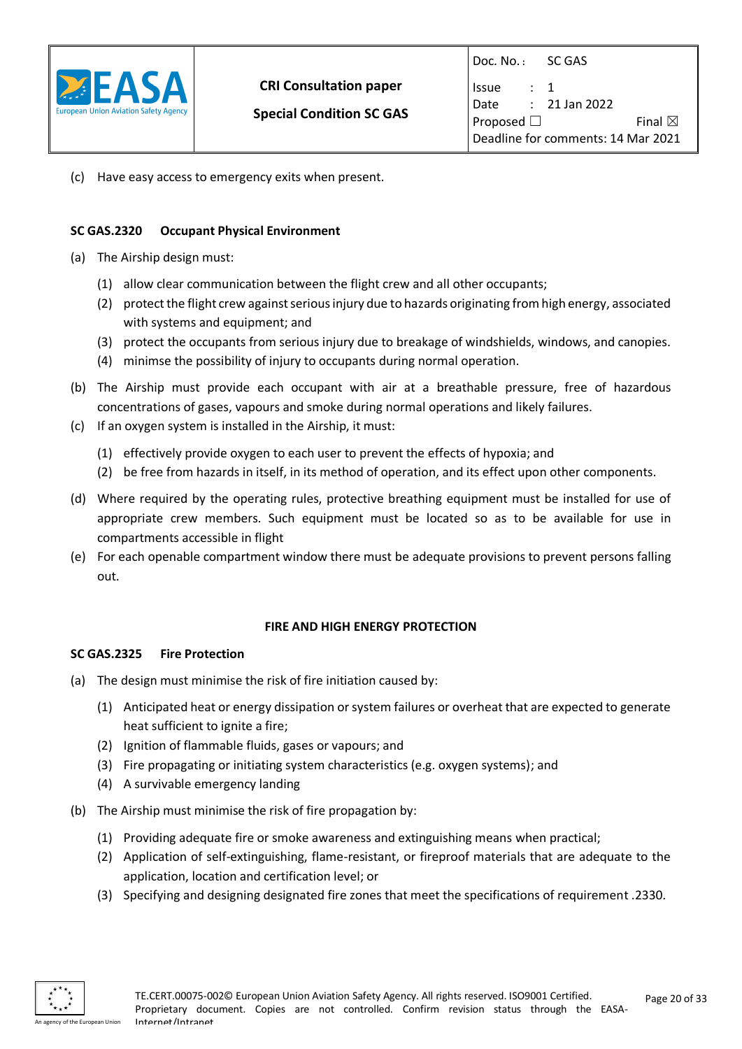

(c) Have easy access to emergency exits when present.

### <span id="page-19-0"></span>**SC GAS.2320 Occupant Physical Environment**

- (a) The Airship design must:
	- (1) allow clear communication between the flight crew and all other occupants;
	- (2) protect the flight crew against serious injury due to hazards originating from high energy, associated with systems and equipment; and
	- (3) protect the occupants from serious injury due to breakage of windshields, windows, and canopies.
	- (4) minimse the possibility of injury to occupants during normal operation.
- (b) The Airship must provide each occupant with air at a breathable pressure, free of hazardous concentrations of gases, vapours and smoke during normal operations and likely failures.
- (c) If an oxygen system is installed in the Airship, it must:
	- (1) effectively provide oxygen to each user to prevent the effects of hypoxia; and
	- (2) be free from hazards in itself, in its method of operation, and its effect upon other components.
- (d) Where required by the operating rules, protective breathing equipment must be installed for use of appropriate crew members. Such equipment must be located so as to be available for use in compartments accessible in flight
- (e) For each openable compartment window there must be adequate provisions to prevent persons falling out.

### **FIRE AND HIGH ENERGY PROTECTION**

### <span id="page-19-2"></span><span id="page-19-1"></span>**SC GAS.2325 Fire Protection**

- (a) The design must minimise the risk of fire initiation caused by:
	- (1) Anticipated heat or energy dissipation or system failures or overheat that are expected to generate heat sufficient to ignite a fire;
	- (2) Ignition of flammable fluids, gases or vapours; and
	- (3) Fire propagating or initiating system characteristics (e.g. oxygen systems); and
	- (4) A survivable emergency landing
- (b) The Airship must minimise the risk of fire propagation by:
	- (1) Providing adequate fire or smoke awareness and extinguishing means when practical;
	- (2) Application of self-extinguishing, flame-resistant, or fireproof materials that are adequate to the application, location and certification level; or
	- (3) Specifying and designing designated fire zones that meet the specifications of requirement .2330.

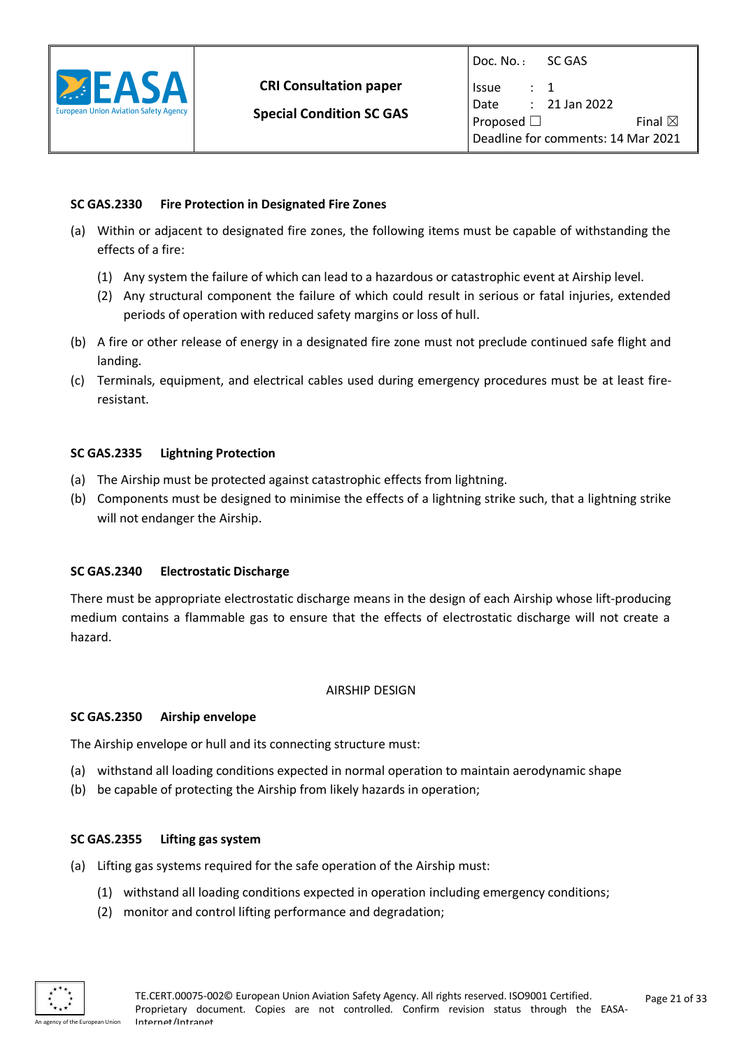

### <span id="page-20-0"></span>**SC GAS.2330 Fire Protection in Designated Fire Zones**

- (a) Within or adjacent to designated fire zones, the following items must be capable of withstanding the effects of a fire:
	- (1) Any system the failure of which can lead to a hazardous or catastrophic event at Airship level.
	- (2) Any structural component the failure of which could result in serious or fatal injuries, extended periods of operation with reduced safety margins or loss of hull.
- (b) A fire or other release of energy in a designated fire zone must not preclude continued safe flight and landing.
- (c) Terminals, equipment, and electrical cables used during emergency procedures must be at least fireresistant.

### <span id="page-20-1"></span>**SC GAS.2335 Lightning Protection**

- (a) The Airship must be protected against catastrophic effects from lightning.
- (b) Components must be designed to minimise the effects of a lightning strike such, that a lightning strike will not endanger the Airship.

### <span id="page-20-2"></span>**SC GAS.2340 Electrostatic Discharge**

There must be appropriate electrostatic discharge means in the design of each Airship whose lift-producing medium contains a flammable gas to ensure that the effects of electrostatic discharge will not create a hazard.

### AIRSHIP DESIGN

### <span id="page-20-4"></span><span id="page-20-3"></span>**SC GAS.2350 Airship envelope**

The Airship envelope or hull and its connecting structure must:

- (a) withstand all loading conditions expected in normal operation to maintain aerodynamic shape
- (b) be capable of protecting the Airship from likely hazards in operation;

### <span id="page-20-5"></span>**SC GAS.2355 Lifting gas system**

- (a) Lifting gas systems required for the safe operation of the Airship must:
	- (1) withstand all loading conditions expected in operation including emergency conditions;
	- (2) monitor and control lifting performance and degradation;

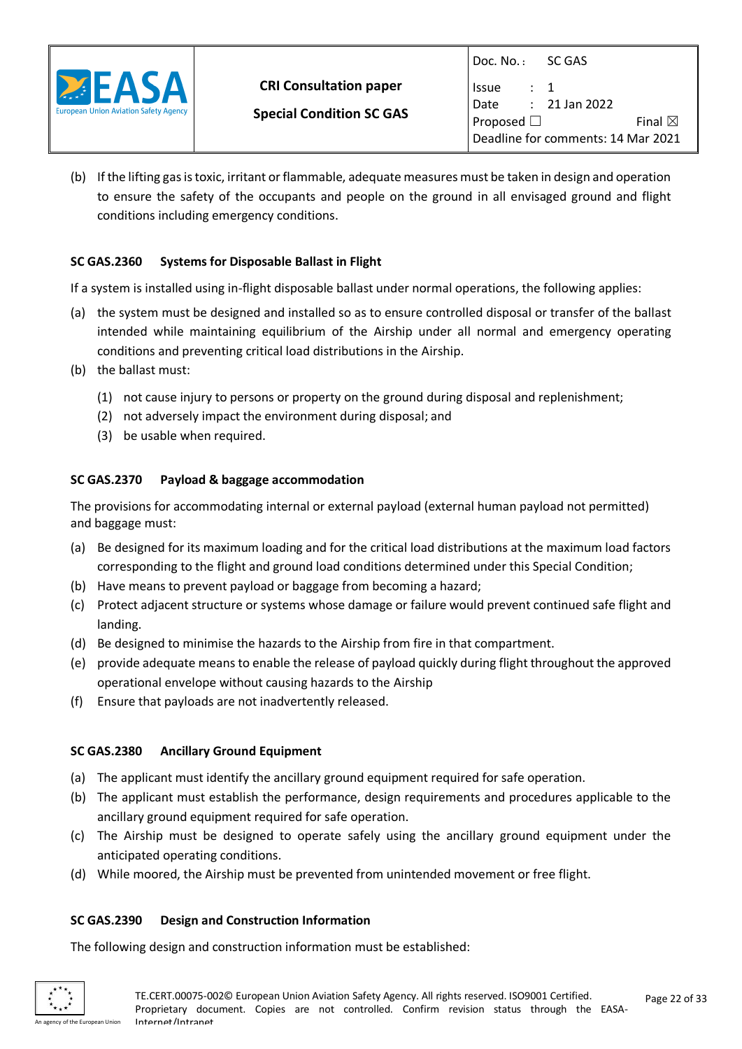

(b) If the lifting gas is toxic, irritant or flammable, adequate measures must be taken in design and operation to ensure the safety of the occupants and people on the ground in all envisaged ground and flight conditions including emergency conditions.

# <span id="page-21-0"></span>**SC GAS.2360 Systems for Disposable Ballast in Flight**

If a system is installed using in-flight disposable ballast under normal operations, the following applies:

- (a) the system must be designed and installed so as to ensure controlled disposal or transfer of the ballast intended while maintaining equilibrium of the Airship under all normal and emergency operating conditions and preventing critical load distributions in the Airship.
- (b) the ballast must:
	- (1) not cause injury to persons or property on the ground during disposal and replenishment;
	- (2) not adversely impact the environment during disposal; and
	- (3) be usable when required.

### <span id="page-21-1"></span>**SC GAS.2370 Payload & baggage accommodation**

The provisions for accommodating internal or external payload (external human payload not permitted) and baggage must:

- (a) Be designed for its maximum loading and for the critical load distributions at the maximum load factors corresponding to the flight and ground load conditions determined under this Special Condition;
- (b) Have means to prevent payload or baggage from becoming a hazard;
- (c) Protect adjacent structure or systems whose damage or failure would prevent continued safe flight and landing.
- (d) Be designed to minimise the hazards to the Airship from fire in that compartment.
- (e) provide adequate means to enable the release of payload quickly during flight throughout the approved operational envelope without causing hazards to the Airship
- (f) Ensure that payloads are not inadvertently released.

### <span id="page-21-2"></span>**SC GAS.2380 Ancillary Ground Equipment**

- (a) The applicant must identify the ancillary ground equipment required for safe operation.
- (b) The applicant must establish the performance, design requirements and procedures applicable to the ancillary ground equipment required for safe operation.
- (c) The Airship must be designed to operate safely using the ancillary ground equipment under the anticipated operating conditions.
- (d) While moored, the Airship must be prevented from unintended movement or free flight.

### <span id="page-21-3"></span>**SC GAS.2390 Design and Construction Information**

The following design and construction information must be established:

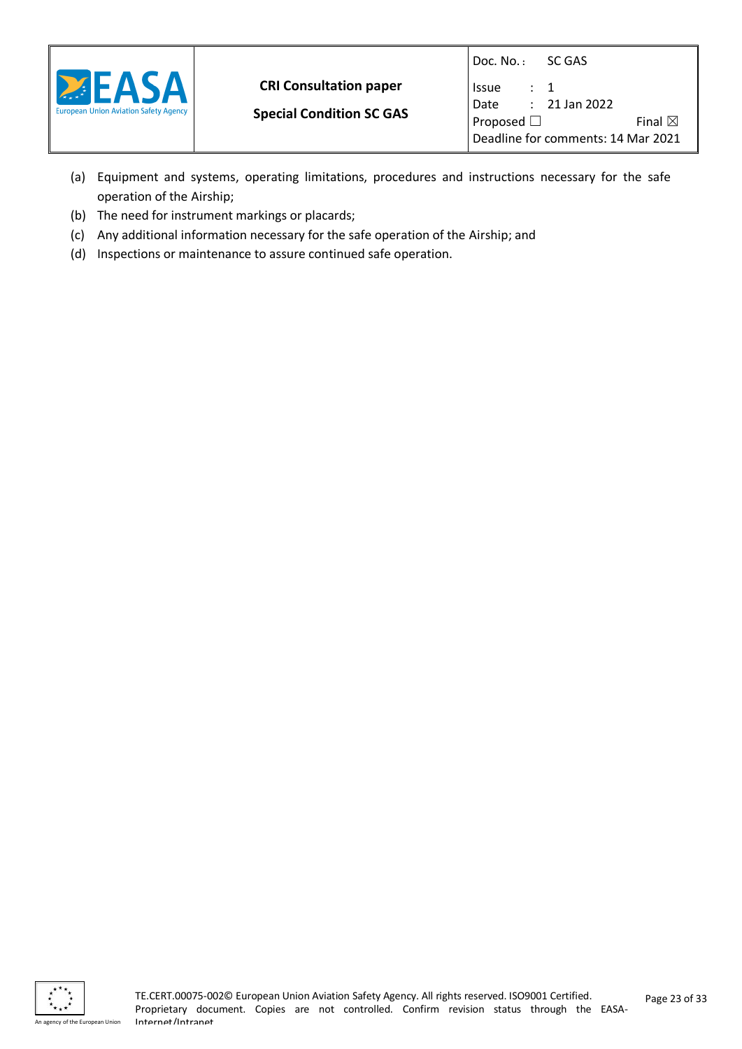

| Doc. No.: SC GAS                   |                |                   |
|------------------------------------|----------------|-------------------|
| Issue<br>Date                      | $\therefore$ 1 | $: 21$ Jan 2022   |
| Proposed $\Box$                    |                | Final $\boxtimes$ |
| Deadline for comments: 14 Mar 2021 |                |                   |

- (a) Equipment and systems, operating limitations, procedures and instructions necessary for the safe operation of the Airship;
- (b) The need for instrument markings or placards;
- (c) Any additional information necessary for the safe operation of the Airship; and
- (d) Inspections or maintenance to assure continued safe operation.

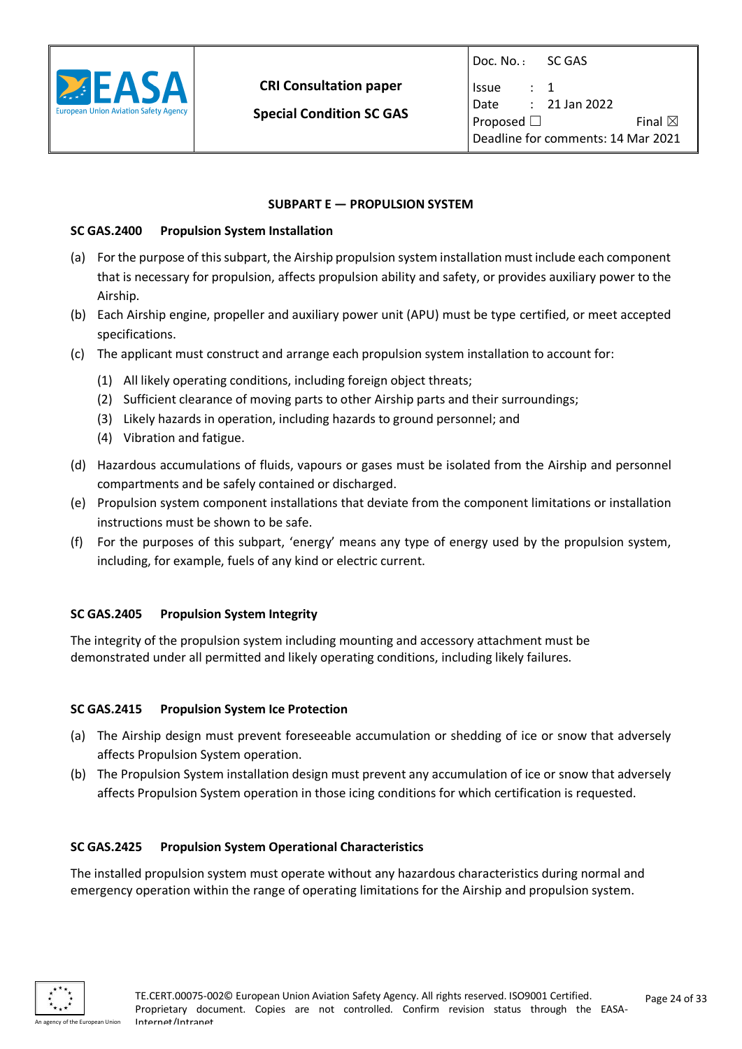

### **SUBPART E — PROPULSION SYSTEM**

### <span id="page-23-1"></span><span id="page-23-0"></span>**SC GAS.2400 Propulsion System Installation**

- (a) For the purpose of this subpart, the Airship propulsion system installation must include each component that is necessary for propulsion, affects propulsion ability and safety, or provides auxiliary power to the Airship.
- (b) Each Airship engine, propeller and auxiliary power unit (APU) must be type certified, or meet accepted specifications.
- (c) The applicant must construct and arrange each propulsion system installation to account for:
	- (1) All likely operating conditions, including foreign object threats;
	- (2) Sufficient clearance of moving parts to other Airship parts and their surroundings;
	- (3) Likely hazards in operation, including hazards to ground personnel; and
	- (4) Vibration and fatigue.
- (d) Hazardous accumulations of fluids, vapours or gases must be isolated from the Airship and personnel compartments and be safely contained or discharged.
- (e) Propulsion system component installations that deviate from the component limitations or installation instructions must be shown to be safe.
- (f) For the purposes of this subpart, 'energy' means any type of energy used by the propulsion system, including, for example, fuels of any kind or electric current.

# <span id="page-23-2"></span>**SC GAS.2405 Propulsion System Integrity**

The integrity of the propulsion system including mounting and accessory attachment must be demonstrated under all permitted and likely operating conditions, including likely failures.

# <span id="page-23-3"></span>**SC GAS.2415 Propulsion System Ice Protection**

- (a) The Airship design must prevent foreseeable accumulation or shedding of ice or snow that adversely affects Propulsion System operation.
- (b) The Propulsion System installation design must prevent any accumulation of ice or snow that adversely affects Propulsion System operation in those icing conditions for which certification is requested.

# <span id="page-23-4"></span>**SC GAS.2425 Propulsion System Operational Characteristics**

The installed propulsion system must operate without any hazardous characteristics during normal and emergency operation within the range of operating limitations for the Airship and propulsion system.

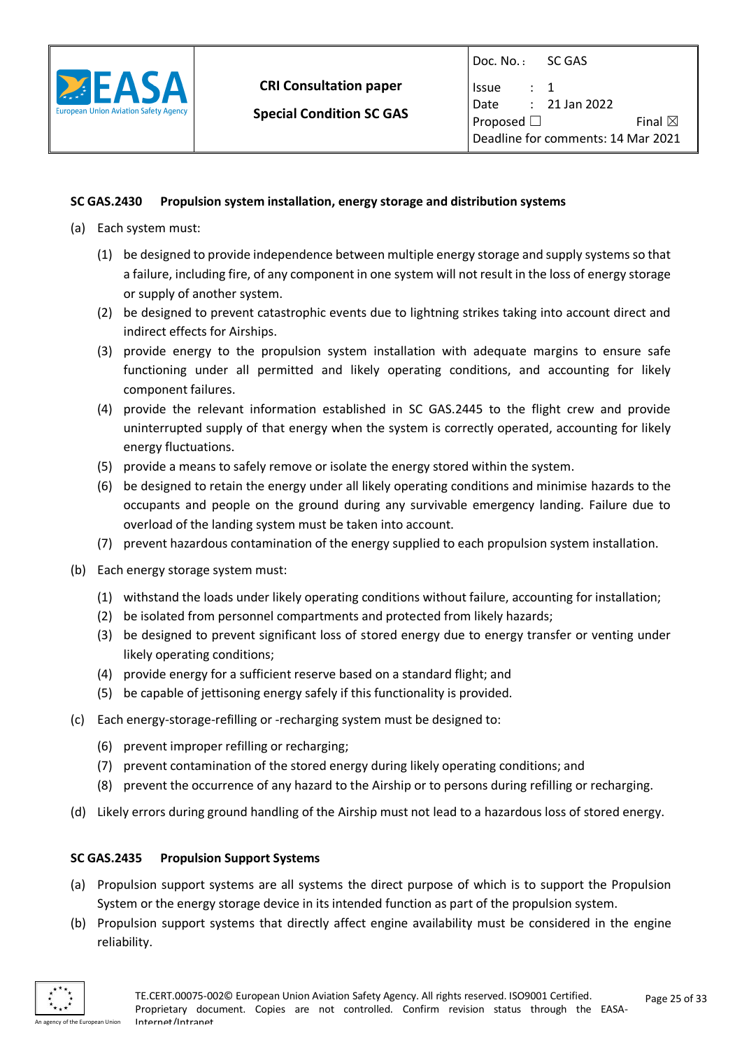

# <span id="page-24-0"></span>**SC GAS.2430 Propulsion system installation, energy storage and distribution systems**

- (a) Each system must:
	- (1) be designed to provide independence between multiple energy storage and supply systems so that a failure, including fire, of any component in one system will not result in the loss of energy storage or supply of another system.
	- (2) be designed to prevent catastrophic events due to lightning strikes taking into account direct and indirect effects for Airships.
	- (3) provide energy to the propulsion system installation with adequate margins to ensure safe functioning under all permitted and likely operating conditions, and accounting for likely component failures.
	- (4) provide the relevant information established in SC GAS.2445 to the flight crew and provide uninterrupted supply of that energy when the system is correctly operated, accounting for likely energy fluctuations.
	- (5) provide a means to safely remove or isolate the energy stored within the system.
	- (6) be designed to retain the energy under all likely operating conditions and minimise hazards to the occupants and people on the ground during any survivable emergency landing. Failure due to overload of the landing system must be taken into account.
	- (7) prevent hazardous contamination of the energy supplied to each propulsion system installation.
- (b) Each energy storage system must:
	- (1) withstand the loads under likely operating conditions without failure, accounting for installation;
	- (2) be isolated from personnel compartments and protected from likely hazards;
	- (3) be designed to prevent significant loss of stored energy due to energy transfer or venting under likely operating conditions;
	- (4) provide energy for a sufficient reserve based on a standard flight; and
	- (5) be capable of jettisoning energy safely if this functionality is provided.
- (c) Each energy-storage-refilling or -recharging system must be designed to:
	- (6) prevent improper refilling or recharging;
	- (7) prevent contamination of the stored energy during likely operating conditions; and
	- (8) prevent the occurrence of any hazard to the Airship or to persons during refilling or recharging.
- (d) Likely errors during ground handling of the Airship must not lead to a hazardous loss of stored energy.

### <span id="page-24-1"></span>**SC GAS.2435 Propulsion Support Systems**

- (a) Propulsion support systems are all systems the direct purpose of which is to support the Propulsion System or the energy storage device in its intended function as part of the propulsion system.
- (b) Propulsion support systems that directly affect engine availability must be considered in the engine reliability.

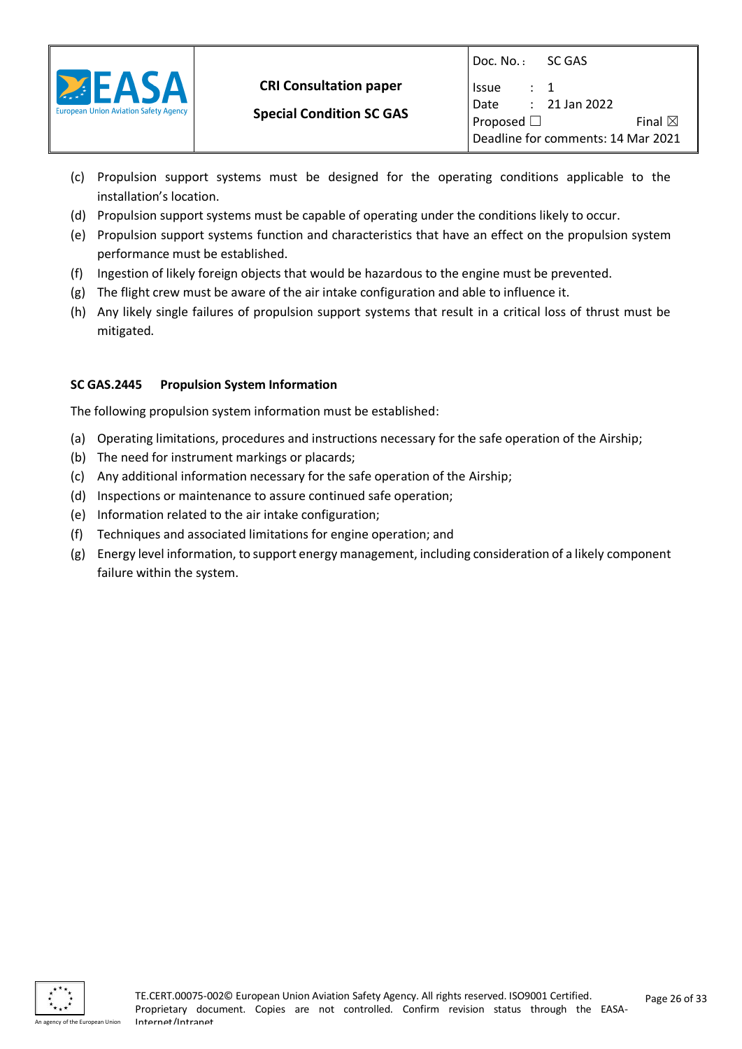

- (c) Propulsion support systems must be designed for the operating conditions applicable to the installation's location.
- (d) Propulsion support systems must be capable of operating under the conditions likely to occur.
- (e) Propulsion support systems function and characteristics that have an effect on the propulsion system performance must be established.
- (f) Ingestion of likely foreign objects that would be hazardous to the engine must be prevented.
- (g) The flight crew must be aware of the air intake configuration and able to influence it.
- (h) Any likely single failures of propulsion support systems that result in a critical loss of thrust must be mitigated.

# <span id="page-25-0"></span>**SC GAS.2445 Propulsion System Information**

The following propulsion system information must be established:

- (a) Operating limitations, procedures and instructions necessary for the safe operation of the Airship;
- (b) The need for instrument markings or placards;
- (c) Any additional information necessary for the safe operation of the Airship;
- (d) Inspections or maintenance to assure continued safe operation;
- (e) Information related to the air intake configuration;
- (f) Techniques and associated limitations for engine operation; and
- (g) Energy level information, to support energy management, including consideration of a likely component failure within the system.

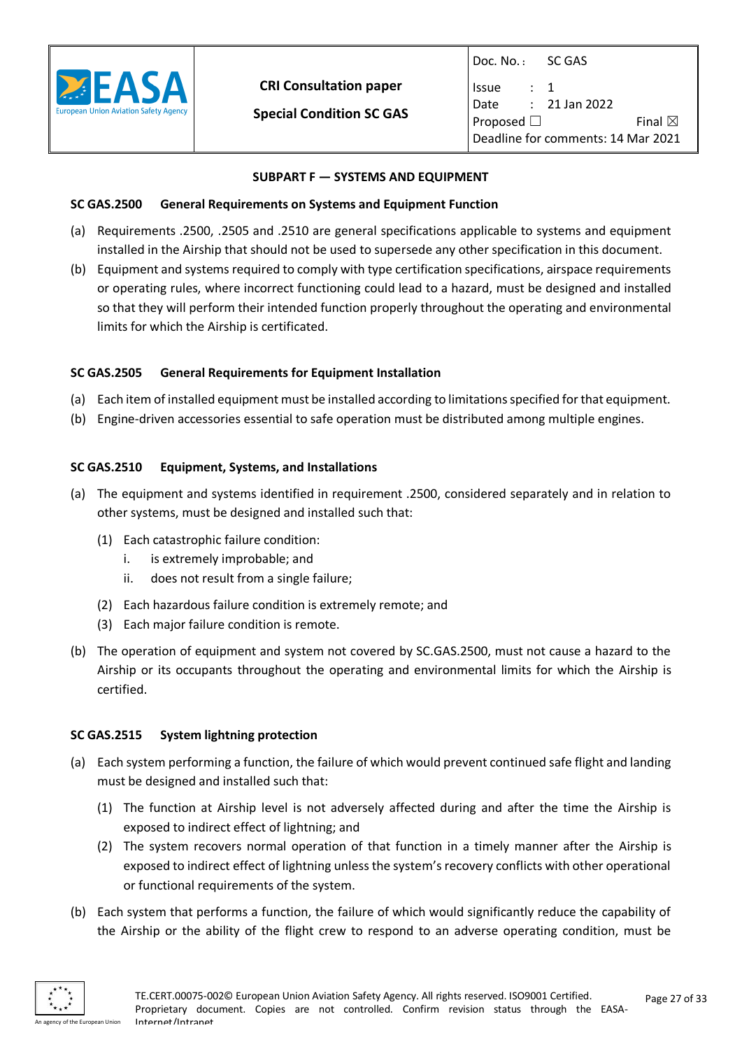

| Doc. $No. :$ SC GAS                |                   |  |
|------------------------------------|-------------------|--|
| Issue<br>$\cdot$ 1<br>Date         | $: 21$ Jan 2022   |  |
| Proposed $\Box$                    | Final $\boxtimes$ |  |
| Deadline for comments: 14 Mar 2021 |                   |  |

### **SUBPART F — SYSTEMS AND EQUIPMENT**

### <span id="page-26-1"></span><span id="page-26-0"></span>**SC GAS.2500 General Requirements on Systems and Equipment Function**

- (a) Requirements .2500, .2505 and .2510 are general specifications applicable to systems and equipment installed in the Airship that should not be used to supersede any other specification in this document.
- (b) Equipment and systems required to comply with type certification specifications, airspace requirements or operating rules, where incorrect functioning could lead to a hazard, must be designed and installed so that they will perform their intended function properly throughout the operating and environmental limits for which the Airship is certificated.

### <span id="page-26-2"></span>**SC GAS.2505 General Requirements for Equipment Installation**

- (a) Each item of installed equipment must be installed according to limitations specified for that equipment.
- (b) Engine-driven accessories essential to safe operation must be distributed among multiple engines.

### <span id="page-26-3"></span>**SC GAS.2510 Equipment, Systems, and Installations**

- (a) The equipment and systems identified in requirement .2500, considered separately and in relation to other systems, must be designed and installed such that:
	- (1) Each catastrophic failure condition:
		- i. is extremely improbable; and
		- ii. does not result from a single failure;
	- (2) Each hazardous failure condition is extremely remote; and
	- (3) Each major failure condition is remote.
- (b) The operation of equipment and system not covered by SC.GAS.2500, must not cause a hazard to the Airship or its occupants throughout the operating and environmental limits for which the Airship is certified.

### <span id="page-26-4"></span>**SC GAS.2515 System lightning protection**

- (a) Each system performing a function, the failure of which would prevent continued safe flight and landing must be designed and installed such that:
	- (1) The function at Airship level is not adversely affected during and after the time the Airship is exposed to indirect effect of lightning; and
	- (2) The system recovers normal operation of that function in a timely manner after the Airship is exposed to indirect effect of lightning unless the system's recovery conflicts with other operational or functional requirements of the system.
- (b) Each system that performs a function, the failure of which would significantly reduce the capability of the Airship or the ability of the flight crew to respond to an adverse operating condition, must be

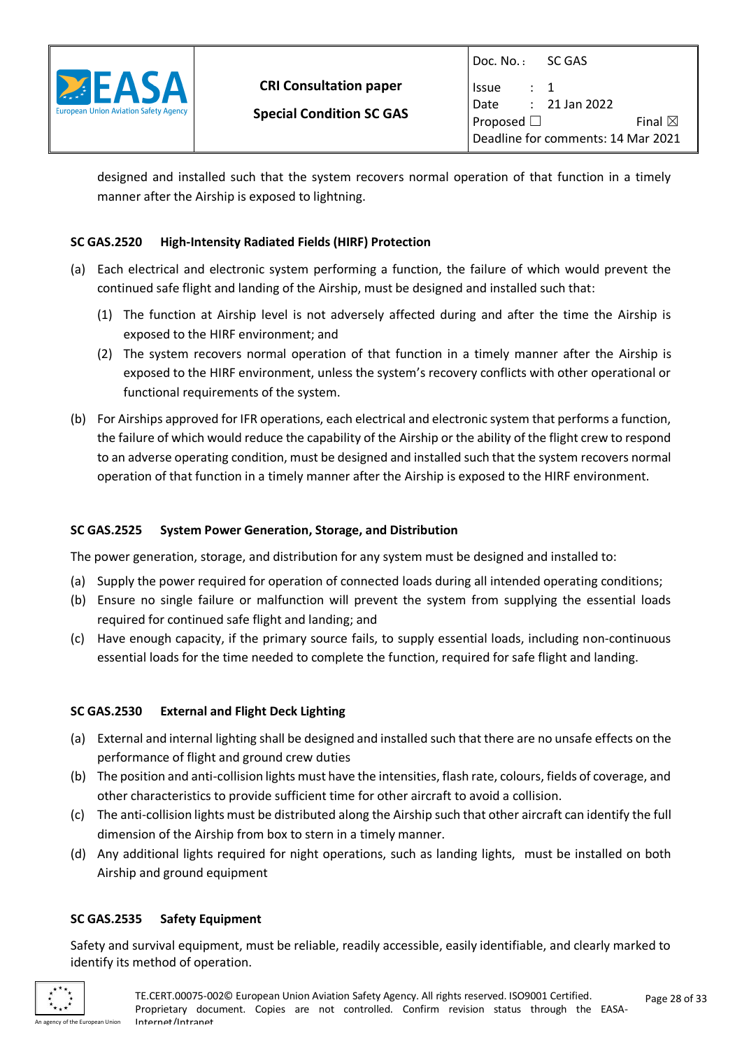

designed and installed such that the system recovers normal operation of that function in a timely manner after the Airship is exposed to lightning.

# <span id="page-27-0"></span>**SC GAS.2520 High-Intensity Radiated Fields (HIRF) Protection**

- (a) Each electrical and electronic system performing a function, the failure of which would prevent the continued safe flight and landing of the Airship, must be designed and installed such that:
	- (1) The function at Airship level is not adversely affected during and after the time the Airship is exposed to the HIRF environment; and
	- (2) The system recovers normal operation of that function in a timely manner after the Airship is exposed to the HIRF environment, unless the system's recovery conflicts with other operational or functional requirements of the system.
- (b) For Airships approved for IFR operations, each electrical and electronic system that performs a function, the failure of which would reduce the capability of the Airship or the ability of the flight crew to respond to an adverse operating condition, must be designed and installed such that the system recovers normal operation of that function in a timely manner after the Airship is exposed to the HIRF environment.

# <span id="page-27-1"></span>**SC GAS.2525 System Power Generation, Storage, and Distribution**

The power generation, storage, and distribution for any system must be designed and installed to:

- (a) Supply the power required for operation of connected loads during all intended operating conditions;
- (b) Ensure no single failure or malfunction will prevent the system from supplying the essential loads required for continued safe flight and landing; and
- (c) Have enough capacity, if the primary source fails, to supply essential loads, including non-continuous essential loads for the time needed to complete the function, required for safe flight and landing.

# <span id="page-27-2"></span>**SC GAS.2530 External and Flight Deck Lighting**

- (a) External and internal lighting shall be designed and installed such that there are no unsafe effects on the performance of flight and ground crew duties
- (b) The position and anti-collision lights must have the intensities, flash rate, colours, fields of coverage, and other characteristics to provide sufficient time for other aircraft to avoid a collision.
- (c) The anti-collision lights must be distributed along the Airship such that other aircraft can identify the full dimension of the Airship from box to stern in a timely manner.
- (d) Any additional lights required for night operations, such as landing lights, must be installed on both Airship and ground equipment

# <span id="page-27-3"></span>**SC GAS.2535 Safety Equipment**

Safety and survival equipment, must be reliable, readily accessible, easily identifiable, and clearly marked to identify its method of operation.

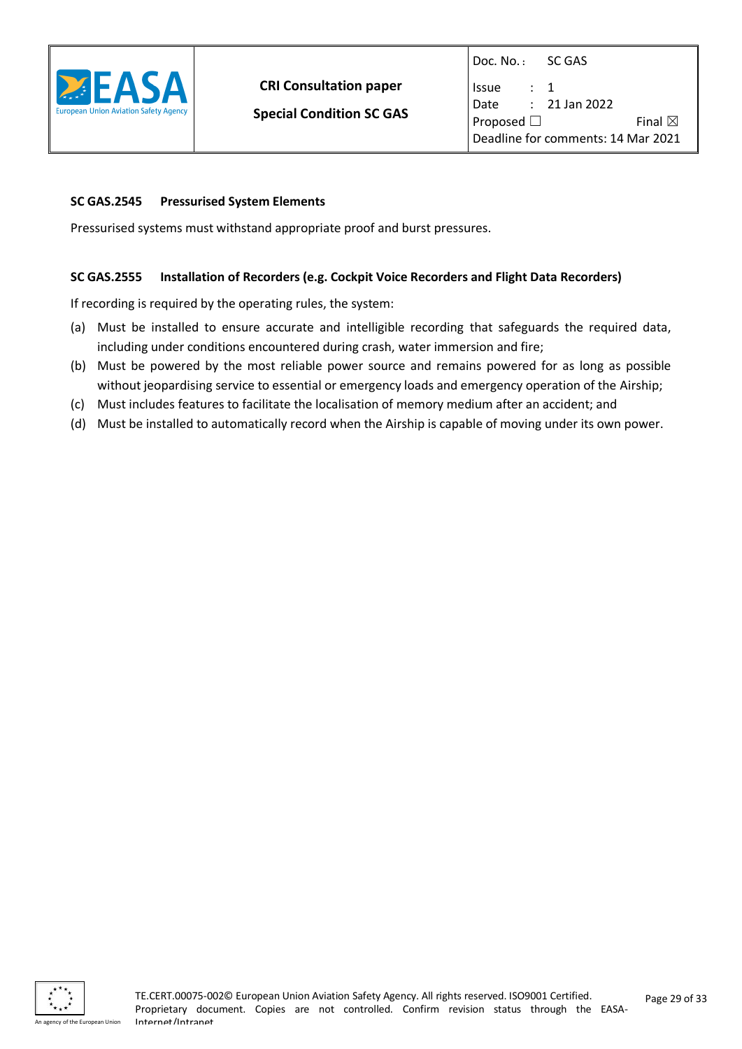

### <span id="page-28-0"></span>**SC GAS.2545 Pressurised System Elements**

Pressurised systems must withstand appropriate proof and burst pressures.

# <span id="page-28-1"></span>**SC GAS.2555 Installation of Recorders (e.g. Cockpit Voice Recorders and Flight Data Recorders)**

If recording is required by the operating rules, the system:

- (a) Must be installed to ensure accurate and intelligible recording that safeguards the required data, including under conditions encountered during crash, water immersion and fire;
- (b) Must be powered by the most reliable power source and remains powered for as long as possible without jeopardising service to essential or emergency loads and emergency operation of the Airship;
- (c) Must includes features to facilitate the localisation of memory medium after an accident; and
- (d) Must be installed to automatically record when the Airship is capable of moving under its own power.

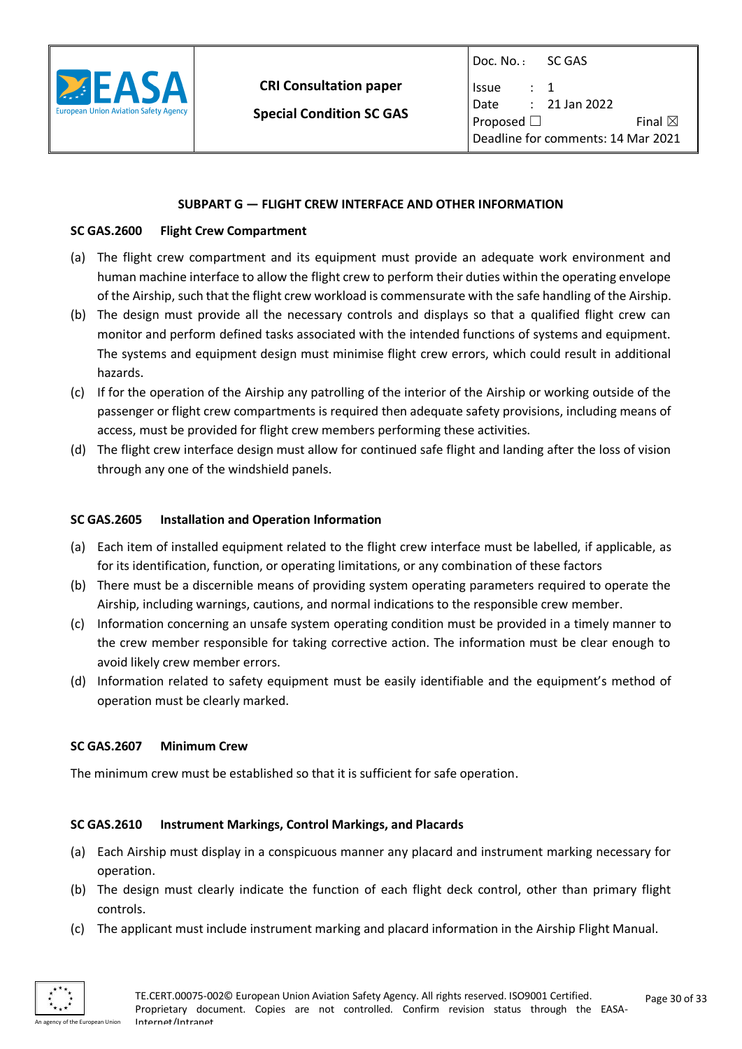

| Doc. $No. :$ SC GAS                |          |                   |
|------------------------------------|----------|-------------------|
| Issue                              | $\div$ 1 |                   |
| Date                               |          | $: 21$ Jan 2022   |
| Proposed $\Box$                    |          | Final $\boxtimes$ |
| Deadline for comments: 14 Mar 2021 |          |                   |

### **SUBPART G — FLIGHT CREW INTERFACE AND OTHER INFORMATION**

### <span id="page-29-1"></span><span id="page-29-0"></span>**SC GAS.2600 Flight Crew Compartment**

- (a) The flight crew compartment and its equipment must provide an adequate work environment and human machine interface to allow the flight crew to perform their duties within the operating envelope of the Airship, such that the flight crew workload is commensurate with the safe handling of the Airship.
- (b) The design must provide all the necessary controls and displays so that a qualified flight crew can monitor and perform defined tasks associated with the intended functions of systems and equipment. The systems and equipment design must minimise flight crew errors, which could result in additional hazards.
- (c) If for the operation of the Airship any patrolling of the interior of the Airship or working outside of the passenger or flight crew compartments is required then adequate safety provisions, including means of access, must be provided for flight crew members performing these activities.
- (d) The flight crew interface design must allow for continued safe flight and landing after the loss of vision through any one of the windshield panels.

### <span id="page-29-2"></span>**SC GAS.2605 Installation and Operation Information**

- (a) Each item of installed equipment related to the flight crew interface must be labelled, if applicable, as for its identification, function, or operating limitations, or any combination of these factors
- (b) There must be a discernible means of providing system operating parameters required to operate the Airship, including warnings, cautions, and normal indications to the responsible crew member.
- (c) Information concerning an unsafe system operating condition must be provided in a timely manner to the crew member responsible for taking corrective action. The information must be clear enough to avoid likely crew member errors.
- (d) Information related to safety equipment must be easily identifiable and the equipment's method of operation must be clearly marked.

### <span id="page-29-3"></span>**SC GAS.2607 Minimum Crew**

The minimum crew must be established so that it is sufficient for safe operation.

### <span id="page-29-4"></span>**SC GAS.2610 Instrument Markings, Control Markings, and Placards**

- (a) Each Airship must display in a conspicuous manner any placard and instrument marking necessary for operation.
- (b) The design must clearly indicate the function of each flight deck control, other than primary flight controls.
- (c) The applicant must include instrument marking and placard information in the Airship Flight Manual.

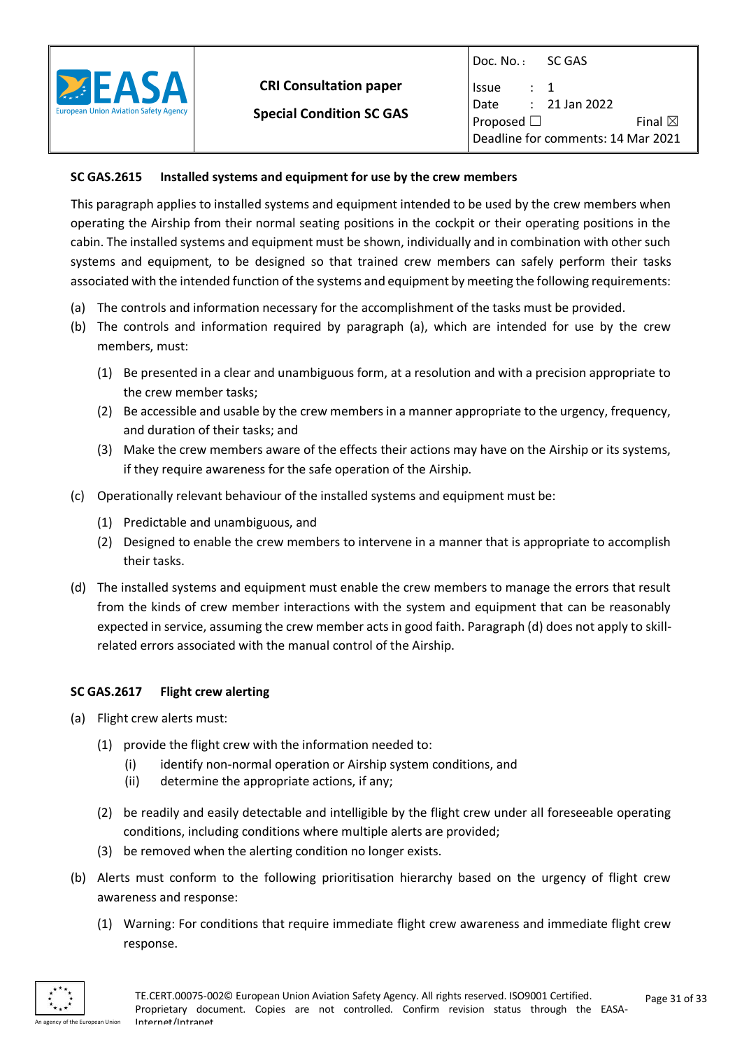

# <span id="page-30-0"></span>**SC GAS.2615 Installed systems and equipment for use by the crew members**

This paragraph applies to installed systems and equipment intended to be used by the crew members when operating the Airship from their normal seating positions in the cockpit or their operating positions in the cabin. The installed systems and equipment must be shown, individually and in combination with other such systems and equipment, to be designed so that trained crew members can safely perform their tasks associated with the intended function of the systems and equipment by meeting the following requirements:

- (a) The controls and information necessary for the accomplishment of the tasks must be provided.
- (b) The controls and information required by paragraph (a), which are intended for use by the crew members, must:
	- (1) Be presented in a clear and unambiguous form, at a resolution and with a precision appropriate to the crew member tasks;
	- (2) Be accessible and usable by the crew members in a manner appropriate to the urgency, frequency, and duration of their tasks; and
	- (3) Make the crew members aware of the effects their actions may have on the Airship or its systems, if they require awareness for the safe operation of the Airship.
- (c) Operationally relevant behaviour of the installed systems and equipment must be:
	- (1) Predictable and unambiguous, and
	- (2) Designed to enable the crew members to intervene in a manner that is appropriate to accomplish their tasks.
- (d) The installed systems and equipment must enable the crew members to manage the errors that result from the kinds of crew member interactions with the system and equipment that can be reasonably expected in service, assuming the crew member acts in good faith. Paragraph (d) does not apply to skillrelated errors associated with the manual control of the Airship.

# <span id="page-30-1"></span>**SC GAS.2617 Flight crew alerting**

- (a) Flight crew alerts must:
	- (1) provide the flight crew with the information needed to:
		- (i) identify non-normal operation or Airship system conditions, and
		- (ii) determine the appropriate actions, if any;
	- (2) be readily and easily detectable and intelligible by the flight crew under all foreseeable operating conditions, including conditions where multiple alerts are provided;
	- (3) be removed when the alerting condition no longer exists.
- (b) Alerts must conform to the following prioritisation hierarchy based on the urgency of flight crew awareness and response:
	- (1) Warning: For conditions that require immediate flight crew awareness and immediate flight crew response.

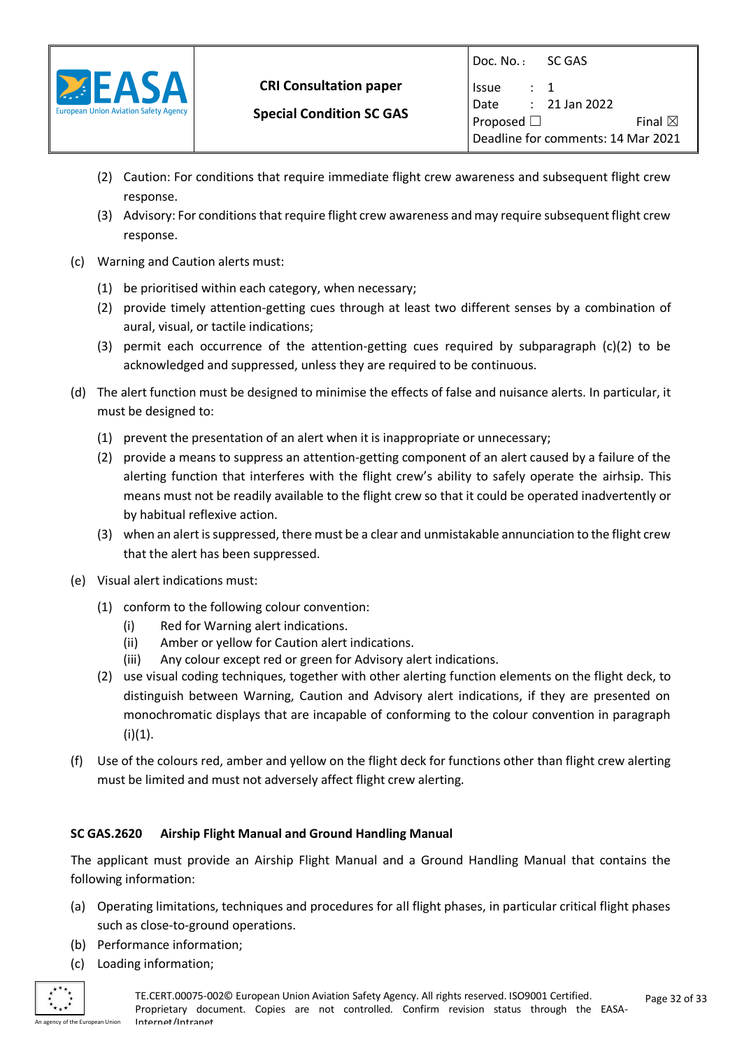

- **Special Condition SC GAS**
- (2) Caution: For conditions that require immediate flight crew awareness and subsequent flight crew response.
- (3) Advisory: For conditions that require flight crew awareness and may require subsequent flight crew response.
- (c) Warning and Caution alerts must:
	- (1) be prioritised within each category, when necessary;
	- (2) provide timely attention-getting cues through at least two different senses by a combination of aural, visual, or tactile indications;
	- (3) permit each occurrence of the attention-getting cues required by subparagraph (c)(2) to be acknowledged and suppressed, unless they are required to be continuous.
- (d) The alert function must be designed to minimise the effects of false and nuisance alerts. In particular, it must be designed to:
	- (1) prevent the presentation of an alert when it is inappropriate or unnecessary;
	- (2) provide a means to suppress an attention-getting component of an alert caused by a failure of the alerting function that interferes with the flight crew's ability to safely operate the airhsip. This means must not be readily available to the flight crew so that it could be operated inadvertently or by habitual reflexive action.
	- (3) when an alert is suppressed, there must be a clear and unmistakable annunciation to the flight crew that the alert has been suppressed.
- (e) Visual alert indications must:
	- (1) conform to the following colour convention:
		- (i) Red for Warning alert indications.
		- (ii) Amber or yellow for Caution alert indications.
		- (iii) Any colour except red or green for Advisory alert indications.
	- (2) use visual coding techniques, together with other alerting function elements on the flight deck, to distinguish between Warning, Caution and Advisory alert indications, if they are presented on monochromatic displays that are incapable of conforming to the colour convention in paragraph  $(i)(1).$
- (f) Use of the colours red, amber and yellow on the flight deck for functions other than flight crew alerting must be limited and must not adversely affect flight crew alerting.

# <span id="page-31-0"></span>**SC GAS.2620 Airship Flight Manual and Ground Handling Manual**

The applicant must provide an Airship Flight Manual and a Ground Handling Manual that contains the following information:

- (a) Operating limitations, techniques and procedures for all flight phases, in particular critical flight phases such as close-to-ground operations.
- (b) Performance information;
- (c) Loading information;